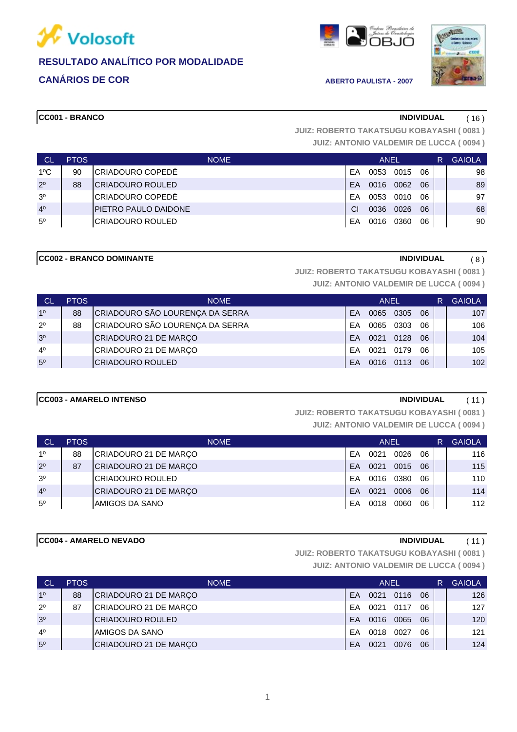

### **CANÁRIOS DE COR ABERTO PAULISTA - 2007**



**CC001 - BRANCO INDIVIDUAL** ( 16 )

**JUIZ: ANTONIO VALDEMIR DE LUCCA ( 0094 ) JUIZ: ROBERTO TAKATSUGU KOBAYASHI ( 0081 )**

| CL             | <b>PTOS</b> | <b>NOME</b>                 | ANEL |      |      |    | R | <b>GAIOLA</b> |
|----------------|-------------|-----------------------------|------|------|------|----|---|---------------|
| $1^{\circ}$ C  | 90          | ICRIADOURO COPEDÉ           | FA   | 0053 | 0015 | 06 |   | 98            |
| $2^{\circ}$    | 88          | ICRIADOURO ROULED           | FΑ   | 0016 | 0062 | 06 |   | 89            |
| 3 <sup>o</sup> |             | CRIADOURO COPEDÉ            | FA   | 0053 | 0010 | 06 |   | 97            |
| 4 <sup>0</sup> |             | <b>PIETRO PAULO DAIDONE</b> | СI   | 0036 | 0026 | 06 |   | 68            |
| $5^{\circ}$    |             | ICRIADOURO ROULED           | EA   | 0016 | 0360 | 06 |   | 90            |

#### **CC002 - BRANCO DOMINANTE INDIVIDUAL** ( 8 )

**JUIZ: ROBERTO TAKATSUGU KOBAYASHI ( 0081 )**

**JUIZ: ANTONIO VALDEMIR DE LUCCA ( 0094 )**

| CL             | PTOS | <b>NOME</b>                     | <b>ANEL</b> |      |      |    | R | <b>GAIOLA</b> |
|----------------|------|---------------------------------|-------------|------|------|----|---|---------------|
| 1 <sup>0</sup> | 88   | CRIADOURO SÃO LOURENÇA DA SERRA | FA          | 0065 | 0305 | 06 |   | 107           |
| $2^{\circ}$    | 88   | CRIADOURO SÃO LOURENÇA DA SERRA | FA          | 0065 | 0303 | 06 |   | 106           |
| 3 <sup>o</sup> |      | CRIADOURO 21 DE MARÇO           | FA          | 0021 | 0128 | 06 |   | 104           |
| $4^{\circ}$    |      | CRIADOURO 21 DE MARÇO           | FΑ          | 0021 | 0179 | 06 |   | 105           |
| 5 <sup>o</sup> |      | <b>CRIADOURO ROULED</b>         | FA          | 0016 | 0113 | 06 |   | 102           |

#### **CC003 - AMARELO INTENSO INDIVIDUAL** ( 11 )

**JUIZ: ROBERTO TAKATSUGU KOBAYASHI ( 0081 )**

**JUIZ: ANTONIO VALDEMIR DE LUCCA ( 0094 )**

| - CL           | <b>PTOS</b> | <b>NOME</b>           |    | ANEL |      |    | R | <b>GAIOLA</b> |
|----------------|-------------|-----------------------|----|------|------|----|---|---------------|
| 10             | 88          | CRIADOURO 21 DE MARÇO | FA | 0021 | 0026 | 06 |   | 116           |
| $2^{\circ}$    | 87          | CRIADOURO 21 DE MARÇO | FA | 0021 | 0015 | 06 |   | 115           |
| 3 <sup>o</sup> |             | ICRIADOURO ROULED     | FA | 0016 | 0380 | 06 |   | 110           |
| 4 <sup>0</sup> |             | CRIADOURO 21 DE MARÇO | FA | 0021 | 0006 | 06 |   | 114           |
| $5^{\circ}$    |             | AMIGOS DA SANO        | FA | 0018 | 0060 | 06 |   | 112           |

#### **CC004 - AMARELO NEVADO INDIVIDUAL** ( 11 )

**JUIZ: ROBERTO TAKATSUGU KOBAYASHI ( 0081 )**

| <b>CL</b>      | <b>PTOS</b> | <b>NOME</b>           | <b>ANEL</b> |      |      |    | R | <b>GAIOLA</b> |
|----------------|-------------|-----------------------|-------------|------|------|----|---|---------------|
| 1 <sup>0</sup> | 88          | CRIADOURO 21 DE MARÇO | EA          | 0021 | 0116 | 06 |   | 126           |
| $2^{\circ}$    | 87          | CRIADOURO 21 DE MARÇO | FΑ          | 0021 | 0117 | 06 |   | 127           |
| 3 <sup>o</sup> |             | ICRIADOURO ROULED     | <b>FA</b>   | 0016 | 0065 | 06 |   | 120           |
| 4 <sup>0</sup> |             | AMIGOS DA SANO        | FA          | 0018 | 0027 | 06 |   | 121           |
| 5 <sup>o</sup> |             | CRIADOURO 21 DE MARÇO | EA          | 0021 | 0076 | 06 |   | 124           |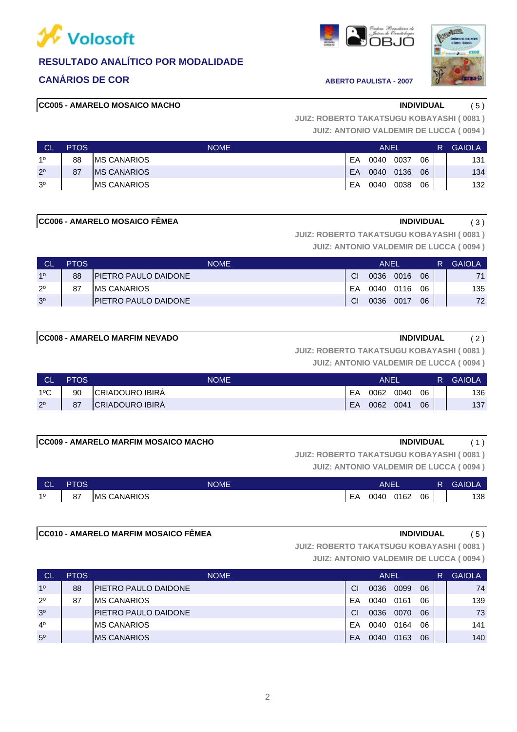

### **CANÁRIOS DE COR ABERTO PAULISTA - 2007**





#### **CC005 - AMARELO MOSAICO MACHO INDIVIDUAL** ( 5 )

**JUIZ: ANTONIO VALDEMIR DE LUCCA ( 0094 ) JUIZ: ROBERTO TAKATSUGU KOBAYASHI ( 0081 )**

| <b>CL</b>      | <b>PTOS</b> | <b>NOME</b>         | <b>ANEL</b> |      |      |    |  | <b>GAIOLA</b> |
|----------------|-------------|---------------------|-------------|------|------|----|--|---------------|
| 10             | 88          | <b>IMS CANARIOS</b> | EA          | 0040 | 0037 | 06 |  | 131           |
| $2^{\circ}$    | 87          | <b>IMS CANARIOS</b> | EA          | 0040 | 0136 | 06 |  | 134           |
| 3 <sup>o</sup> |             | <b>IMS CANARIOS</b> | EA          | 0040 | 0038 | 06 |  | 132           |

#### **CC006 - AMARELO MOSAICO FÊMEA** (3)

**JUIZ: ROBERTO TAKATSUGU KOBAYASHI ( 0081 )**

**JUIZ: ANTONIO VALDEMIR DE LUCCA ( 0094 )**

| <b>CL</b>      | <b>PTOS</b> | <b>NOME</b>                  |           | ANEI      |      |    | <b>GAIOLA</b> |
|----------------|-------------|------------------------------|-----------|-----------|------|----|---------------|
| 10             | 88          | <b>IPIETRO PAULO DAIDONE</b> | CI.       | 0036      | 0016 | 06 | 71            |
| $2^{\circ}$    | 87          | IMS CANARIOS                 | EA        | 0040 0116 |      | 06 | 135           |
| 3 <sup>o</sup> |             | IPIETRO PAULO DAIDONE        | <b>CI</b> | 0036      | 0017 | 06 | 72            |

#### **CC008 - AMARELO MARFIM NEVADO INDIVIDUAL** ( 2 )

#### **JUIZ: ROBERTO TAKATSUGU KOBAYASHI ( 0081 )**

**JUIZ: ANTONIO VALDEMIR DE LUCCA ( 0094 )**

| <b>CL</b>     | <b>PTOS</b> | <b>NOME</b>     | ANEI |      |      |    | R. | <b>GAIOLA</b> |
|---------------|-------------|-----------------|------|------|------|----|----|---------------|
| $1^{\circ}$ C | 90          | CRIADOURO IBIRA | EA   | 0062 | 0040 | 06 |    | 136           |
| $2^{\circ}$   | 87          | CRIADOURO IBIRA | EA   | 0062 | 0041 | 06 |    | 137           |

#### **CC009 - AMARELO MARFIM MOSAICO MACHO INDIVIDUAL** ( 1 )

**JUIZ: ANTONIO VALDEMIR DE LUCCA ( 0094 ) JUIZ: ROBERTO TAKATSUGU KOBAYASHI ( 0081 )**

| <b>NGLN</b> | <b>PTOS</b> | <b>NOME</b>        |    | <b>ANEI</b> |      |    | R GAIOLA |
|-------------|-------------|--------------------|----|-------------|------|----|----------|
| $1^{\circ}$ | 87          | <b>MS CANARIOS</b> | EA | 0040        | 0162 | 06 | 138      |

**CC010 - AMARELO MARFIM MOSAICO FÊMEA INDIVIDUAL** ( 5 )

**JUIZ: ROBERTO TAKATSUGU KOBAYASHI ( 0081 )**

| <b>CL</b>      | <b>PTOS</b> | <b>NOME</b>                  |    | <b>ANEL</b> |      |    |  | <b>GAIOLA</b> |
|----------------|-------------|------------------------------|----|-------------|------|----|--|---------------|
| 1 <sup>0</sup> | 88          | <b>PIETRO PAULO DAIDONE</b>  | CI | 0036        | 0099 | 06 |  | 74            |
| $2^{\circ}$    | 87          | IMS CANARIOS                 | ЕA | 0040        | 0161 | 06 |  | 139           |
| 3 <sup>o</sup> |             | <b>IPIETRO PAULO DAIDONE</b> | CI | 0036        | 0070 | 06 |  | 73            |
| 4 <sup>0</sup> |             | IMS CANARIOS                 | ЕA | 0040        | 0164 | 06 |  | 141           |
| 5 <sup>o</sup> |             | <b>IMS CANARIOS</b>          | EA | 0040        | 0163 | 06 |  | 140           |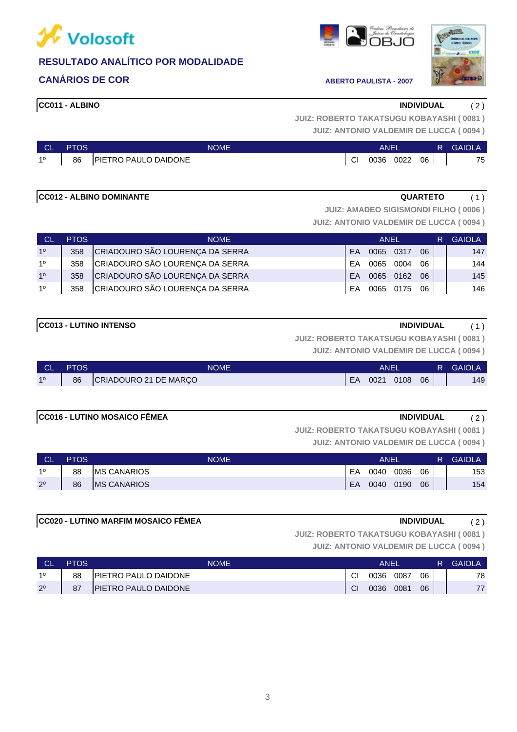

### **CANÁRIOS DE COR ABERTO PAULISTA - 2007**



3

# **SHI ( 0081 )**

|  |  | 001 - 110 - 111 - 111 - 111 - 110 - 110 - 110 - 111 - 111 - 111 - 111 - 111 - 111 - 111 - 111 - 111 - 111 - 1 |  |  |  |
|--|--|---------------------------------------------------------------------------------------------------------------|--|--|--|
|  |  | <b>JUIZ: ANTONIO VALDEMIR DE LUCCA (0094)</b>                                                                 |  |  |  |

| CL PTOS | <b>NOME</b>                    | ANEL |              |  |  | <b>R</b> GAIOLA |
|---------|--------------------------------|------|--------------|--|--|-----------------|
|         | 1º   86   PIETRO PAULO DAIDONE | -CI  | 0036 0022 06 |  |  | 75              |

## **CC012 - ALBINO DOMINANTE QUARTETO** ( 1 )

**JUIZ: AMADEO SIGISMONDI FILHO ( 0006 )**

**JUIZ: ANTONIO VALDEMIR DE LUCCA ( 0094 )**

| CL             | <b>PTOS</b> | <b>NOME</b>                     | ANEL      |      |              |     | R. | <b>GAIOLA</b> |
|----------------|-------------|---------------------------------|-----------|------|--------------|-----|----|---------------|
| 1 <sup>0</sup> | 358         | CRIADOURO SÃO LOURENÇA DA SERRA | <b>FA</b> | 0065 | 0317         | 06  |    | 147           |
| 1 <sup>0</sup> | 358         | CRIADOURO SÃO LOURENÇA DA SERRA | FA        | 0065 | 0004         | 06  |    | 144           |
| 10             | 358         | CRIADOURO SÃO LOURENÇA DA SERRA | <b>FA</b> | 0065 | 0162         | -06 |    | 145           |
| 10             | 358         | CRIADOURO SÃO LOURENÇA DA SERRA | FA.       |      | 0065 0175 06 |     |    | 146           |

**JUIZ: ROBERTO TAKATSUGU KOBAYASHI ( 0081 )**

**JUIZ: ANTONIO VALDEMIR DE LUCCA ( 0094 )**

| <b>CL</b> | <b>PTOS</b> | NOME                  |    | ANEI |      |    | R | <b>GAIOLA</b> |
|-----------|-------------|-----------------------|----|------|------|----|---|---------------|
| 10        | 86          | CRIADOURO 21 DE MARÇO | EA | 0021 | 0108 | 06 |   | 149           |

### **CC016 - LUTINO MOSAICO FÊMEA INDIVIDUAL** ( 2 )

**JUIZ: ROBERTO TAKATSUGU KOBAYASHI ( 0081 )**

**JUIZ: ANTONIO VALDEMIR DE LUCCA ( 0094 )**

| CL          | <b>PTOS</b> | <b>NOME</b>         |    | <b>ANEL</b> |      |    | <b>GAIOLA</b> |
|-------------|-------------|---------------------|----|-------------|------|----|---------------|
| 10          | 88          | <b>IMS CANARIOS</b> | EA | 0040        | 0036 | 06 | 153           |
| $2^{\circ}$ | 86          | <b>IMS CANARIOS</b> | EA | 0040        | 0190 | 06 | 154           |

### **CC020 - LUTINO MARFIM MOSAICO FÊMEA INDIVIDUAL** ( 2 )

**JUIZ: ROBERTO TAKATSUGU KOBAYASHI ( 0081 )**

**JUIZ: ANTONIO VALDEMIR DE LUCCA ( 0094 )**

|             | <b>PTOS</b> | <b>NOME</b>                  | <b>ANEI</b>   |      |      |    | <b>GAIOLA</b> |
|-------------|-------------|------------------------------|---------------|------|------|----|---------------|
| 10          | 88          | <b>IPIETRO PAULO DAIDONE</b> | CI            | 0036 | 0087 | 06 | 78            |
| $2^{\circ}$ | 87          | <b>PIETRO PAULO DAIDONE</b>  | <sub>Cl</sub> | 0036 | 0081 | 06 | 77            |

| <b>CC011 - ALBINO</b> | <b>INDIVIDUAL</b>                               | 2) |
|-----------------------|-------------------------------------------------|----|
|                       | <b>JUIZ: ROBERTO TAKATSUGU KOBAYASHI (0081)</b> |    |





# **CC013 - LUTINO INTENSO INDIVIDUAL** ( 1 )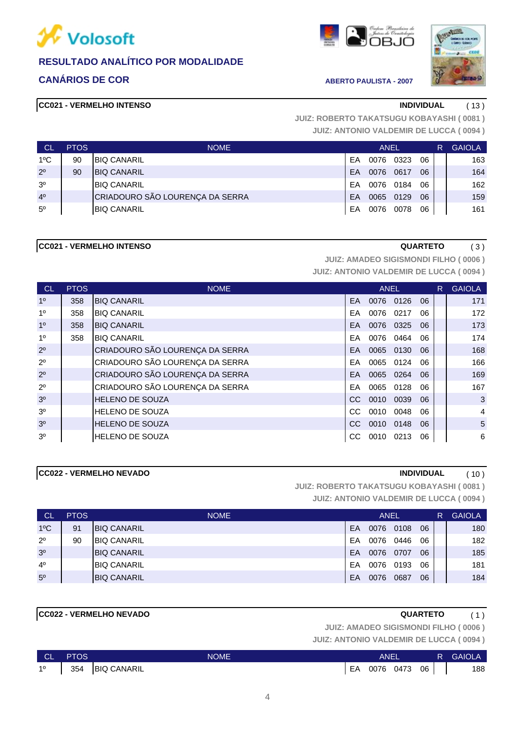

### **CANÁRIOS DE COR ABERTO PAULISTA - 2007**



#### **CC021 - VERMELHO INTENSO INDIVIDUAL** ( 13 )

**JUIZ: ANTONIO VALDEMIR DE LUCCA ( 0094 ) JUIZ: ROBERTO TAKATSUGU KOBAYASHI ( 0081 )**

| <b>CL</b>      | <b>PTOS</b> | <b>NOME</b>                     |           | <b>ANEL</b> |           |    | R | <b>GAIOLA</b> |
|----------------|-------------|---------------------------------|-----------|-------------|-----------|----|---|---------------|
| $1^{\circ}$ C  | 90          | <b>BIQ CANARIL</b>              | FA        | 0076        | 0323      | 06 |   | 163           |
| $2^{\circ}$    | 90          | <b>BIQ CANARIL</b>              | FΑ        | 0076        | 0617      | 06 |   | 164           |
| 3 <sup>o</sup> |             | <b>BIQ CANARIL</b>              | FA        |             | 0076 0184 | 06 |   | 162           |
| 4 <sup>0</sup> |             | CRIADOURO SÃO LOURENÇA DA SERRA | <b>FA</b> |             | 0065 0129 | 06 |   | 159           |
| $5^{\circ}$    |             | <b>BIQ CANARIL</b>              | EA        |             | 0076 0078 | 06 |   | 161           |

#### **CC021 - VERMELHO INTENSO QUARTETO** ( 3 )

**JUIZ: ANTONIO VALDEMIR DE LUCCA ( 0094 ) JUIZ: AMADEO SIGISMONDI FILHO ( 0006 )**

| <b>CL</b>      | <b>PTOS</b> | <b>NOME</b>                     |     |           | ANEL      |    | $R_{\parallel}$ | <b>GAIOLA</b>  |
|----------------|-------------|---------------------------------|-----|-----------|-----------|----|-----------------|----------------|
| 1 <sup>0</sup> | 358         | <b>BIQ CANARIL</b>              | EA. | 0076 0126 |           | 06 |                 | 171            |
| 1 <sup>0</sup> | 358         | <b>BIQ CANARIL</b>              | FA  | 0076 0217 |           | 06 |                 | 172            |
| 1 <sup>0</sup> | 358         | <b>BIQ CANARIL</b>              | EA  |           | 0076 0325 | 06 |                 | 173            |
| 1 <sup>0</sup> | 358         | <b>BIQ CANARIL</b>              | FA  |           | 0076 0464 | 06 |                 | 174            |
| $2^{\circ}$    |             | CRIADOURO SÃO LOURENÇA DA SERRA | EA. | 0065 0130 |           | 06 |                 | 168            |
| $2^{\circ}$    |             | CRIADOURO SÃO LOURENÇA DA SERRA | EA  |           | 0065 0124 | 06 |                 | 166            |
| $2^{\circ}$    |             | CRIADOURO SÃO LOURENÇA DA SERRA | EA. |           | 0065 0264 | 06 |                 | 169            |
| $2^{\circ}$    |             | CRIADOURO SÃO LOURENÇA DA SERRA | EA  | 0065 0128 |           | 06 |                 | 167            |
| 3 <sup>0</sup> |             | <b>HELENO DE SOUZA</b>          | CC. | 0010      | 0039      | 06 |                 | 3              |
| 3 <sup>o</sup> |             | <b>HELENO DE SOUZA</b>          | CС  | 0010      | 0048      | 06 |                 | $\overline{4}$ |
| 3 <sup>o</sup> |             | <b>HELENO DE SOUZA</b>          | CC. | 0010 0148 |           | 06 |                 | 5              |
| 3 <sup>0</sup> |             | <b>HELENO DE SOUZA</b>          | CС  | 0010      | 0213      | 06 |                 | 6              |

### **CC022 - VERMELHO NEVADO INDIVIDUAL** ( 10 )

**JUIZ: ANTONIO VALDEMIR DE LUCCA ( 0094 ) JUIZ: ROBERTO TAKATSUGU KOBAYASHI ( 0081 )**

| <b>CL</b>      | <b>PTOS</b> | <b>NOME</b>         |    | <b>ANEL</b> |      |    | R | <b>GAIOLA</b> |
|----------------|-------------|---------------------|----|-------------|------|----|---|---------------|
| $1^{\circ}$ C  | 91          | <b>IBIQ CANARIL</b> | EA | 0076        | 0108 | 06 |   | 180           |
| $2^{\circ}$    | 90          | <b>BIQ CANARIL</b>  | EA | 0076        | 0446 | 06 |   | 182           |
| 3 <sup>o</sup> |             | <b>BIQ CANARIL</b>  | EA | 0076        | 0707 | 06 |   | 185           |
| $4^{\circ}$    |             | <b>BIQ CANARIL</b>  | EA | 0076        | 0193 | 06 |   | 181           |
| 5 <sup>o</sup> |             | <b>BIQ CANARIL</b>  | EA | 0076        | 0687 | 06 |   | 184           |

### **CC022 - VERMELHO NEVADO QUARTETO** ( 1 )

**JUIZ: AMADEO SIGISMONDI FILHO ( 0006 )**

| ∴ CL '      | <b>PTOS</b> | <b>NOME</b>     |    | <b>ANEL</b> |           |        | R. | <b>GAIOLA</b> |
|-------------|-------------|-----------------|----|-------------|-----------|--------|----|---------------|
| $1^{\circ}$ |             | 354 BIQ CANARIL | EA |             | 0076 0473 | - 06 I |    | 188           |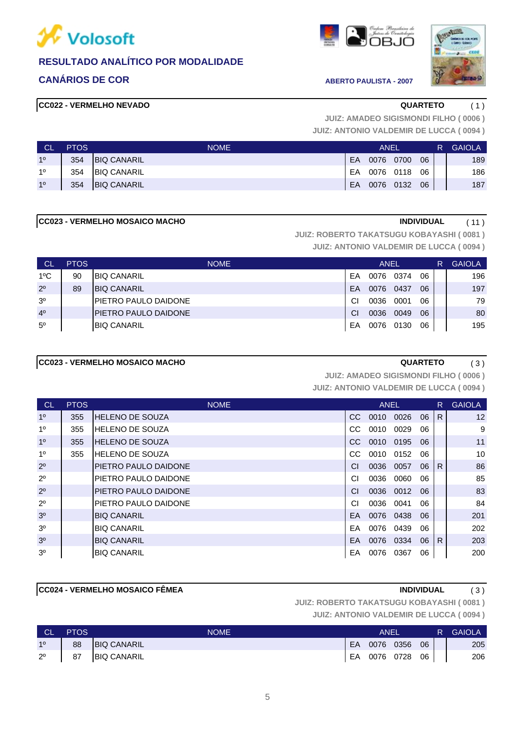

### **CANÁRIOS DE COR ABERTO PAULISTA - 2007**

### **CC022 - VERMELHO NEVADO QUARTETO** ( 1 )





**JUIZ: ANTONIO VALDEMIR DE LUCCA ( 0094 ) JUIZ: AMADEO SIGISMONDI FILHO ( 0006 )**

| <b>CL</b>      | <b>PTOS</b> | <b>NOME</b>        |    | ANEL      |           |    | R' | <b>GAIOLA</b> |
|----------------|-------------|--------------------|----|-----------|-----------|----|----|---------------|
| 10             | 354         | <b>BIQ CANARIL</b> | EA | 0076      | 0700      | 06 |    | 189           |
| 10             | 354         | <b>BIQ CANARIL</b> | EA | 0076 0118 |           | 06 |    | 186           |
| 1 <sup>0</sup> | 354         | <b>BIQ CANARIL</b> | EA |           | 0076 0132 | 06 |    | 187           |

#### **CC023 - VERMELHO MOSAICO MACHO INDIVIDUAL** ( 11 )

**JUIZ: ROBERTO TAKATSUGU KOBAYASHI ( 0081 )**

**JUIZ: ANTONIO VALDEMIR DE LUCCA ( 0094 )**

| <b>CL</b>      | <b>PTOS</b> | <b>NOME</b>                  |    | <b>ANEL</b> |      |    | R | <b>GAIOLA</b> |
|----------------|-------------|------------------------------|----|-------------|------|----|---|---------------|
| $1^{\circ}$ C  | 90          | <b>BIQ CANARIL</b>           | FA | 0076        | 0374 | 06 |   | 196           |
| $2^{\circ}$    | 89          | <b>BIQ CANARIL</b>           | EA | 0076        | 0437 | 06 |   | 197           |
| 3 <sup>o</sup> |             | <b>PIETRO PAULO DAIDONE</b>  | CI | 0036        | 0001 | 06 |   | 79            |
| 4 <sup>0</sup> |             | <b>IPIETRO PAULO DAIDONE</b> | CI | 0036        | 0049 | 06 |   | 80            |
| $5^{\circ}$    |             | <b>BIQ CANARIL</b>           | EA | 0076        | 0130 | 06 |   | 195           |

### **CC023 - VERMELHO MOSAICO MACHO CONSERVATION CONSERVATION (3)**

**JUIZ: AMADEO SIGISMONDI FILHO ( 0006 )**

**JUIZ: ANTONIO VALDEMIR DE LUCCA ( 0094 )**

| <b>CL</b>      | <b>PTOS</b> | <b>NOME</b>                  |     | <b>ANEL</b> |      |      | R. | <b>GAIOLA</b>   |
|----------------|-------------|------------------------------|-----|-------------|------|------|----|-----------------|
| 1 <sup>0</sup> | 355         | <b>HELENO DE SOUZA</b>       | CC. | 0010        | 0026 | - 06 | R. | 12              |
| 1 <sup>0</sup> | 355         | HELENO DE SOUZA              | CC. | 0010        | 0029 | 06   |    | 9               |
| 1 <sup>0</sup> | 355         | <b>IHELENO DE SOUZA</b>      | CC. | 0010 0195   |      | 06   |    | 11              |
| 1 <sup>0</sup> | 355         | <b>HELENO DE SOUZA</b>       | CC. | 0010 0152   |      | 06   |    | 10 <sup>1</sup> |
| $2^{\circ}$    |             | <b>IPIETRO PAULO DAIDONE</b> | CI  | 0036        | 0057 | 06   | R. | 86              |
| $2^{\circ}$    |             | <b>IPIETRO PAULO DAIDONE</b> | СI  | 0036        | 0060 | 06   |    | 85              |
| $2^{\circ}$    |             | <b>IPIETRO PAULO DAIDONE</b> | CI  | 0036        | 0012 | 06   |    | 83              |
| $2^{\circ}$    |             | <b>PIETRO PAULO DAIDONE</b>  | СI  | 0036        | 0041 | 06   |    | 84              |
| 3 <sup>o</sup> |             | <b>BIQ CANARIL</b>           | EA. | 0076        | 0438 | 06   |    | 201             |
| 3 <sup>o</sup> |             | <b>BIQ CANARIL</b>           | EA  | 0076        | 0439 | 06   |    | 202             |
| 3 <sup>o</sup> |             | <b>BIQ CANARIL</b>           | EA  | 0076        | 0334 | 06   | R. | 203             |
| 3 <sup>0</sup> |             | <b>BIQ CANARIL</b>           | EA  | 0076        | 0367 | 06   |    | 200             |

### **CC024 - VERMELHO MOSAICO FÊMEA INDIVIDUAL** ( 3 )

**JUIZ: ROBERTO TAKATSUGU KOBAYASHI ( 0081 )**

| <b>CL</b>      | <b>PTOS</b> | <b>NOME</b>        |    | <b>ANEL</b> |           |      | R. | <b>GAIOLA</b> |
|----------------|-------------|--------------------|----|-------------|-----------|------|----|---------------|
| 1 <sup>0</sup> | 88          | <b>BIQ CANARIL</b> | EA |             | 0076 0356 | 06   |    | 205           |
| $2^{\circ}$    | 87          | <b>BIQ CANARIL</b> | EA |             | 0076 0728 | 06 I |    | 206           |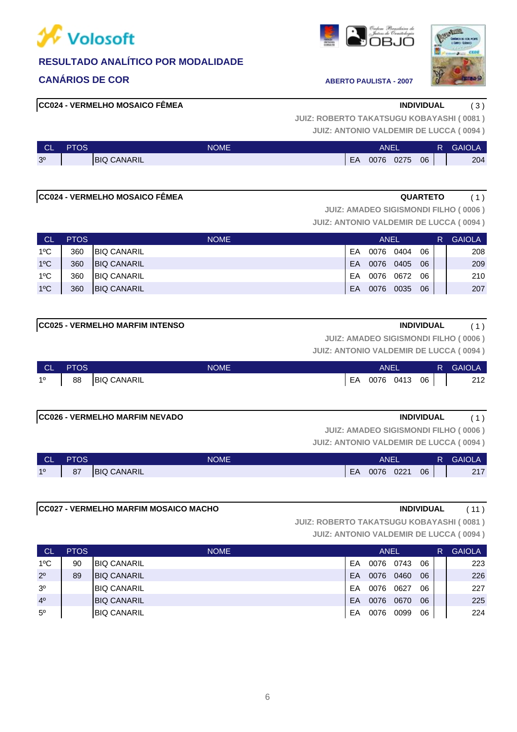

### **CANÁRIOS DE COR ABERTO PAULISTA - 2007**





#### **CC024 - VERMELHO MOSAICO FÊMEA INDIVIDUAL** ( 3 )

**JUIZ: ANTONIO VALDEMIR DE LUCCA ( 0094 ) JUIZ: ROBERTO TAKATSUGU KOBAYASHI ( 0081 )**

| <b>CL</b>      | PTOS | <b>NOME</b>         |    | ANEI |      |    | R | <b>GAIOLA</b> |
|----------------|------|---------------------|----|------|------|----|---|---------------|
| 3 <sup>o</sup> |      | <b>IBIQ CANARIL</b> | EA | 0076 | 0275 | 06 |   | 204           |

#### **CC024 - VERMELHO MOSAICO FÊMEA COLLEGATE A QUARTETO** (1)

**JUIZ: AMADEO SIGISMONDI FILHO ( 0006 )**

**JUIZ: ANTONIO VALDEMIR DE LUCCA ( 0094 )**

| <b>CL</b>     | <b>PTOS</b> | <b>NOME</b>         | <b>ANEL</b> |      |      |    |  | <b>GAIOLA</b> |
|---------------|-------------|---------------------|-------------|------|------|----|--|---------------|
| $1^{\circ}$ C | 360         | <b>BIQ CANARIL</b>  | EA          | 0076 | 0404 | 06 |  | 208           |
| $1^{\circ}$ C | 360         | <b>IBIQ CANARIL</b> | EA          | 0076 | 0405 | 06 |  | 209           |
| $1^{\circ}$ C | 360         | <b>BIQ CANARIL</b>  | EA          | 0076 | 0672 | 06 |  | 210           |
| $1^{\circ}$ C | 360         | <b>BIQ CANARIL</b>  | EA          | 0076 | 0035 | 06 |  | 207           |

#### **CC025 - VERMELHO MARFIM INTENSO INDIVIDUAL** ( 1 )

**JUIZ: AMADEO SIGISMONDI FILHO ( 0006 )**

**JUIZ: ANTONIO VALDEMIR DE LUCCA ( 0094 )**

| <b>CL</b>   | <b>PTOS</b> | <b>NOME</b>        | ANEL |           |  |    | R GAIOLA |
|-------------|-------------|--------------------|------|-----------|--|----|----------|
| $1^{\circ}$ | 88          | <b>BIQ CANARIL</b> | EA   | 0076 0413 |  | 06 | 212      |
|             |             |                    |      |           |  |    |          |

#### **CC026 - VERMELHO MARFIM NEVADO INDIVIDUAL** ( 1 )

**JUIZ: AMADEO SIGISMONDI FILHO ( 0006 )**

**JUIZ: ANTONIO VALDEMIR DE LUCCA ( 0094 )**

| <b>CL</b> | <b>PTOS</b> | <b>NOME</b>        | <b>ANEL</b> |           |  |    | R. | <b>GAIOLA</b> |
|-----------|-------------|--------------------|-------------|-----------|--|----|----|---------------|
| 10        | 87          | <b>BIQ CANARIL</b> | EA          | 0076 0221 |  | 06 |    | 247<br>211    |

#### **CC027 - VERMELHO MARFIM MOSAICO MACHO INDIVIDUAL** ( 11 )

**JUIZ: ROBERTO TAKATSUGU KOBAYASHI ( 0081 )**

| <b>CL</b>      | <b>PTOS</b> | <b>NOME</b>         |    | <b>ANEL</b> |      | R  | <b>GAIOLA</b> |     |
|----------------|-------------|---------------------|----|-------------|------|----|---------------|-----|
| $1^{\circ}$ C  | 90          | <b>BIQ CANARIL</b>  | EΑ | 0076        | 0743 | 06 |               | 223 |
| $2^{\circ}$    | 89          | <b>BIQ CANARIL</b>  | EA | 0076        | 0460 | 06 |               | 226 |
| 3 <sup>o</sup> |             | <b>BIQ CANARIL</b>  | EA | 0076        | 0627 | 06 |               | 227 |
| 4 <sup>0</sup> |             | <b>IBIQ CANARIL</b> | EA | 0076        | 0670 | 06 |               | 225 |
| $5^{\circ}$    |             | <b>BIQ CANARIL</b>  | EΑ | 0076        | 0099 | 06 |               | 224 |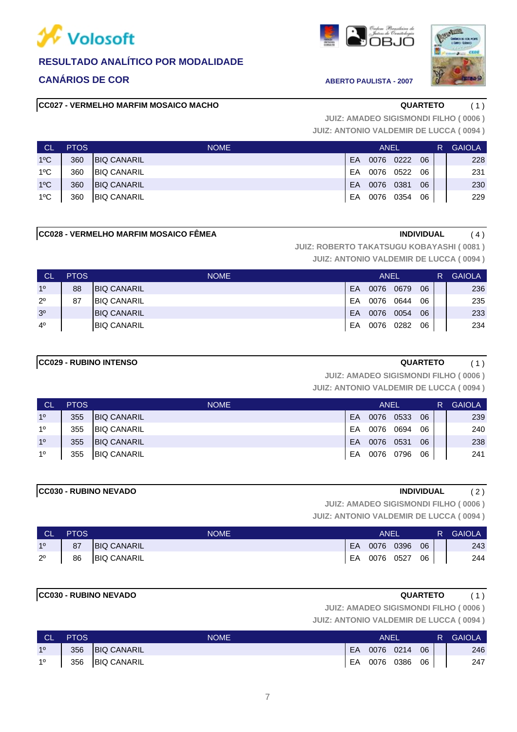

### **CANÁRIOS DE COR ABERTO PAULISTA - 2007**

#### **CC027 - VERMELHO MARFIM MOSAICO MACHO QUARTETO** ( 1 )





**JUIZ: ANTONIO VALDEMIR DE LUCCA ( 0094 ) JUIZ: AMADEO SIGISMONDI FILHO ( 0006 )**

| <b>CL</b>     | <b>PTOS</b> | <b>NOME</b>        | ANEL |           |  |    | R | <b>GAIOLA</b> |
|---------------|-------------|--------------------|------|-----------|--|----|---|---------------|
| $1^{\circ}$ C | 360         | <b>BIQ CANARIL</b> | EA   | 0076 0222 |  | 06 |   | 228           |
| $1^{\circ}$ C | 360         | <b>BIQ CANARIL</b> | EA   | 0076 0522 |  | 06 |   | 231           |
| $1^{\circ}$ C | 360         | <b>BIQ CANARIL</b> | EA.  | 0076 0381 |  | 06 |   | 230           |
| $1^{\circ}$ C | 360         | <b>BIQ CANARIL</b> | EA   | 0076 0354 |  | 06 |   | 229           |

#### **CC028 - VERMELHO MARFIM MOSAICO FÊMEA INDIVIDUAL** ( 4 )

**JUIZ: ROBERTO TAKATSUGU KOBAYASHI ( 0081 )**

**JUIZ: ANTONIO VALDEMIR DE LUCCA ( 0094 )**

| <b>CL</b>      | <b>PTOS</b> | <b>NOME</b>        |    | <b>ANEL</b> |      | R  | <b>GAIOLA</b> |     |
|----------------|-------------|--------------------|----|-------------|------|----|---------------|-----|
| 10             | 88          | <b>BIQ CANARIL</b> | EA | 0076        | 0679 | 06 |               | 236 |
| $2^{\circ}$    | 87          | <b>BIQ CANARIL</b> | EA | 0076        | 0644 | 06 |               | 235 |
| 3 <sup>o</sup> |             | <b>BIQ CANARIL</b> | EA | 0076        | 0054 | 06 |               | 233 |
| $4^{\circ}$    |             | <b>BIQ CANARIL</b> | EA | 0076        | 0282 | 06 |               | 234 |

#### **CC029 - RUBINO INTENSO QUARTETO** ( 1 )

**JUIZ: AMADEO SIGISMONDI FILHO ( 0006 )**

**JUIZ: ANTONIO VALDEMIR DE LUCCA ( 0094 )**

| <b>CL</b>      | <b>PTOS</b> | <b>NOME</b>        | ANEL |           |      |    | R. | <b>GAIOLA</b> |
|----------------|-------------|--------------------|------|-----------|------|----|----|---------------|
| 1 <sup>0</sup> | 355         | <b>BIQ CANARIL</b> | EA   | 0076      | 0533 | 06 |    | 239           |
| 1 <sup>0</sup> | 355         | <b>BIQ CANARIL</b> | EA   | 0076      | 0694 | 06 |    | 240           |
| 1 <sup>0</sup> | 355         | <b>BIQ CANARIL</b> | EA   | 0076      | 0531 | 06 |    | 238           |
| 1 <sup>0</sup> | 355         | <b>BIQ CANARIL</b> | EA   | 0076 0796 |      | 06 |    | 241           |

#### **CC030 - RUBINO NEVADO INDIVIDUAL** ( 2 )

**JUIZ: AMADEO SIGISMONDI FILHO ( 0006 )**

**JUIZ: ANTONIO VALDEMIR DE LUCCA ( 0094 )**

| - CL           | <b>PTOS</b> | <b>NOME</b>        | ANEI |              |  |    | R. | <b>GAIOLA</b> |
|----------------|-------------|--------------------|------|--------------|--|----|----|---------------|
| 1 <sup>0</sup> | 87          | <b>BIQ CANARIL</b> |      | EA 0076 0396 |  | 06 |    | 243           |
| $2^{\circ}$    | 86          | <b>BIQ CANARIL</b> |      | EA 0076 0527 |  | 06 |    | 244           |

### **CC030 - RUBINO NEVADO QUARTETO** ( 1 )

**JUIZ: AMADEO SIGISMONDI FILHO ( 0006 )**

| <b>CL</b>      | <b>PTOS</b> | <b>NOME</b>     | ANEI |              |  |                 | R GAIOLA |
|----------------|-------------|-----------------|------|--------------|--|-----------------|----------|
| 1 <sup>o</sup> |             | 356 BIQ CANARIL | EA   | 0076 0214    |  | 06              | 246      |
| $1^{\circ}$    |             | 356 BIQ CANARIL |      | EA 0076 0386 |  | 06 <sub>1</sub> | 247      |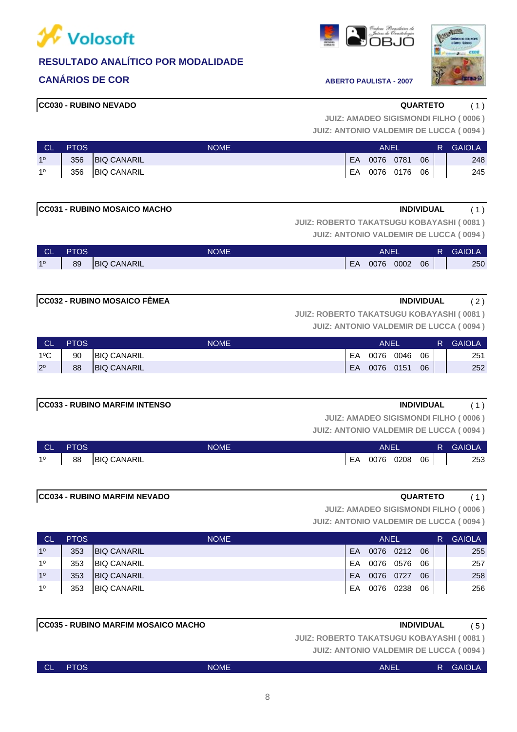

### **CANÁRIOS DE COR ABERTO PAULISTA - 2007**

**CC030 - RUBINO NEVADO QUARTETO** ( 1 )

**JUIZ: ANTONIO VALDEMIR DE LUCCA ( 0094 ) JUIZ: AMADEO SIGISMONDI FILHO ( 0006 )**

| <b>CL</b>      | <b>PTOS</b> | <b>NOME</b>     | ANEI      |           |           |    | R. | <b>GAIOLA</b> |
|----------------|-------------|-----------------|-----------|-----------|-----------|----|----|---------------|
| 1 <sup>o</sup> |             | 356 BIQ CANARIL | <b>EA</b> | 0076 0781 |           | 06 |    | 248           |
| 1 <sup>0</sup> |             | 356 BIQ CANARIL | EA        |           | 0076 0176 | 06 |    | 245           |

**JUIZ: ROBERTO TAKATSUGU KOBAYASHI ( 0081 )**

**JUIZ: ANTONIO VALDEMIR DE LUCCA ( 0094 )**

| ∣ CL' | <b>PTOS</b> | <b>NOME</b>        | ANEI |      |      |    | R. | <b>GAIOLA</b> |
|-------|-------------|--------------------|------|------|------|----|----|---------------|
| 10    | 89          | <b>BIQ CANARIL</b> | EA   | 0076 | 0002 | 06 |    | 250           |

#### **CC032 - RUBINO MOSAICO FÊMEA INDIVIDUAL** ( 2 )

**JUIZ: ROBERTO TAKATSUGU KOBAYASHI ( 0081 )**

**JUIZ: ANTONIO VALDEMIR DE LUCCA ( 0094 )**

| <b>CL</b>     | <b>PTOS</b> | <b>NOME</b>        |     | ANEI      |      |    | R. | <b>GAIOLA</b> |
|---------------|-------------|--------------------|-----|-----------|------|----|----|---------------|
| $1^{\circ}$ C | 90          | <b>BIQ CANARIL</b> | EA  | 0076      | 0046 | 06 |    | 251           |
| $2^{\circ}$   | 88          | <b>BIQ CANARIL</b> | EA. | 0076 0151 |      | 06 |    | 252           |

#### **CC033 - RUBINO MARFIM INTENSO INDIVIDUAL** ( 1 )

**JUIZ: AMADEO SIGISMONDI FILHO ( 0006 )**

**JUIZ: ANTONIO VALDEMIR DE LUCCA ( 0094 )**

| <b>CL</b> | <b>PTOS</b> | <b>NOME</b>        |    | <b>ANEI</b> |      |    | R. | <b>GAIOLA</b> |
|-----------|-------------|--------------------|----|-------------|------|----|----|---------------|
| 10        | 88          | <b>BIQ CANARIL</b> | EA | 0076        | 0208 | 06 |    | 253           |

#### **CC034 - RUBINO MARFIM NEVADO QUARTETO** ( 1 )

**JUIZ: AMADEO SIGISMONDI FILHO ( 0006 )**

**JUIZ: ANTONIO VALDEMIR DE LUCCA ( 0094 )**

| - CL           | <b>PTOS</b> | <b>NOME</b>        |     | ANEL      |           |    | R. | <b>GAIOLA</b> |
|----------------|-------------|--------------------|-----|-----------|-----------|----|----|---------------|
| 1 <sup>0</sup> | 353         | <b>BIQ CANARIL</b> | EA  |           | 0076 0212 | 06 |    | 255           |
| 1 <sup>0</sup> | 353         | <b>BIQ CANARIL</b> | FA. | 0076 0576 |           | 06 |    | 257           |
| 1 <sup>0</sup> | 353         | <b>BIQ CANARIL</b> | EA  | 0076 0727 |           | 06 |    | 258           |
| 1 <sup>0</sup> | 353         | <b>BIQ CANARIL</b> | EA  | 0076 0238 |           | 06 |    | 256           |

**JUIZ: ROBERTO TAKATSUGU KOBAYASHI ( 0081 )**

**JUIZ: ANTONIO VALDEMIR DE LUCCA ( 0094 )**

| <b>CL</b> | <b>PTOS</b> | <b>NOME</b> | ANEL | $\mathsf{R}$ | <b>GAIOLA</b> |
|-----------|-------------|-------------|------|--------------|---------------|
|           |             |             |      |              |               |





**CC031 - RUBINO MOSAICO MACHO INDIVIDUAL** ( 1 )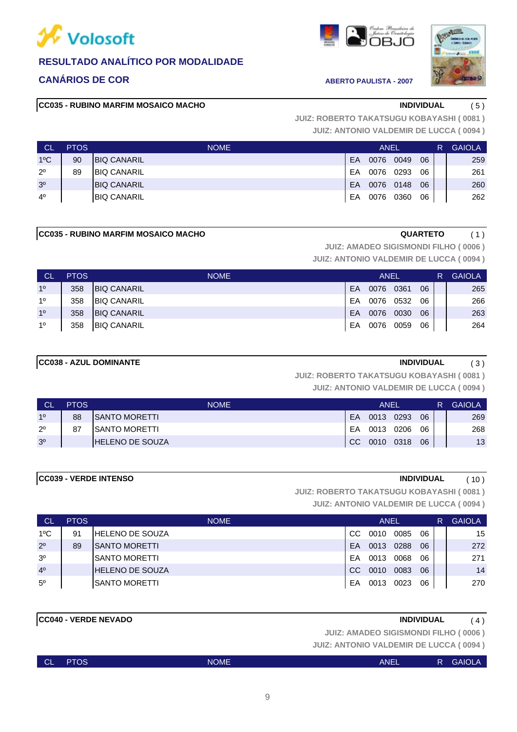

### **CANÁRIOS DE COR ABERTO PAULISTA - 2007**

#### **CC035 - RUBINO MARFIM MOSAICO MACHO INDIVIDUAL** ( 5 )





**JUIZ: ANTONIO VALDEMIR DE LUCCA ( 0094 ) JUIZ: ROBERTO TAKATSUGU KOBAYASHI ( 0081 )**

| <b>CL</b>      | <b>PTOS</b> | <b>NOME</b>        |    | ANEL |      |    | R | <b>GAIOLA</b> |
|----------------|-------------|--------------------|----|------|------|----|---|---------------|
| $1^{\circ}$ C  | 90          | <b>BIQ CANARIL</b> | EA | 0076 | 0049 | 06 |   | 259           |
| $2^{\circ}$    | 89          | <b>BIQ CANARIL</b> | EA | 0076 | 0293 | 06 |   | 261           |
| 3 <sup>o</sup> |             | <b>BIQ CANARIL</b> | EA | 0076 | 0148 | 06 |   | 260           |
| $4^{\circ}$    |             | <b>BIQ CANARIL</b> | EA | 0076 | 0360 | 06 |   | 262           |

#### **CC035 - RUBINO MARFIM MOSAICO MACHO COOST ACCOST AND ACCOST AT A COULD A COULD A COULD A COULD A COOL COOL.**

**JUIZ: AMADEO SIGISMONDI FILHO ( 0006 )**

**JUIZ: ANTONIO VALDEMIR DE LUCCA ( 0094 )**

| <b>CL</b>      | <b>PTOS</b> | <b>NOME</b>        |    | <b>ANEL</b> |      |    | R | <b>GAIOLA</b> |
|----------------|-------------|--------------------|----|-------------|------|----|---|---------------|
| 10             | 358         | <b>BIQ CANARIL</b> | EA | 0076        | 0361 | 06 |   | 265           |
| 10             | 358         | <b>BIQ CANARIL</b> | EA | 0076        | 0532 | 06 |   | 266           |
| 1 <sup>0</sup> | 358         | <b>BIQ CANARIL</b> | EA | 0076        | 0030 | 06 |   | 263           |
| 10             | 358         | <b>BIQ CANARIL</b> | EA | 0076        | 0059 | 06 |   | 264           |

#### **CC038 - AZUL DOMINANTE INDIVIDUAL** ( 3 )

**JUIZ: ROBERTO TAKATSUGU KOBAYASHI ( 0081 )**

**JUIZ: ANTONIO VALDEMIR DE LUCCA ( 0094 )**

| <b>CL</b>      | <b>PTOS</b> | <b>NOME</b>            |           | ANEL      |      |    | R. | <b>GAIOLA</b> |
|----------------|-------------|------------------------|-----------|-----------|------|----|----|---------------|
| 10             | 88          | <b>ISANTO MORETTI</b>  | <b>FA</b> | 0013      | 0293 | 06 |    | 269           |
| $2^{\circ}$    | 87          | <b>ISANTO MORETTI</b>  | EA        | 0013      | 0206 | 06 |    | 268           |
| 3 <sup>o</sup> |             | <b>HELENO DE SOUZA</b> | CC        | 0010 0318 |      | 06 |    | 13            |

#### **CC039 - VERDE INTENSO INDIVIDUAL** ( 10 )

**JUIZ: ROBERTO TAKATSUGU KOBAYASHI ( 0081 )**

**JUIZ: ANTONIO VALDEMIR DE LUCCA ( 0094 )**

| - CL           | <b>PTOS</b> | <b>NOME</b>             |     | <b>ANEL</b> |      |    | R | <b>GAIOLA</b> |
|----------------|-------------|-------------------------|-----|-------------|------|----|---|---------------|
| $1^{\circ}$ C  | 91          | <b>IHELENO DE SOUZA</b> | CC. | 0010        | 0085 | 06 |   | 15            |
| $2^{\circ}$    | 89          | ISANTO MORETTI          | FA  | 0013        | 0288 | 06 |   | 272           |
| 3 <sup>o</sup> |             | ISANTO MORETTI          | FA  | 0013        | 0068 | 06 |   | 271           |
| 4 <sup>0</sup> |             | <b>HELENO DE SOUZA</b>  | CC. | 0010        | 0083 | 06 |   | 14            |
| $5^{\circ}$    |             | ISANTO MORETTI          | EA  | 0013        | 0023 | 06 |   | 270           |

#### **CC040 - VERDE NEVADO INDIVIDUAL** ( 4 )

**JUIZ: AMADEO SIGISMONDI FILHO ( 0006 )**

| <b>CL</b> | <b>PTOS</b> | <b>NOME</b> | <b>ANEL</b> | . е т | <b>GAIOLA</b> |
|-----------|-------------|-------------|-------------|-------|---------------|
|           |             |             |             |       |               |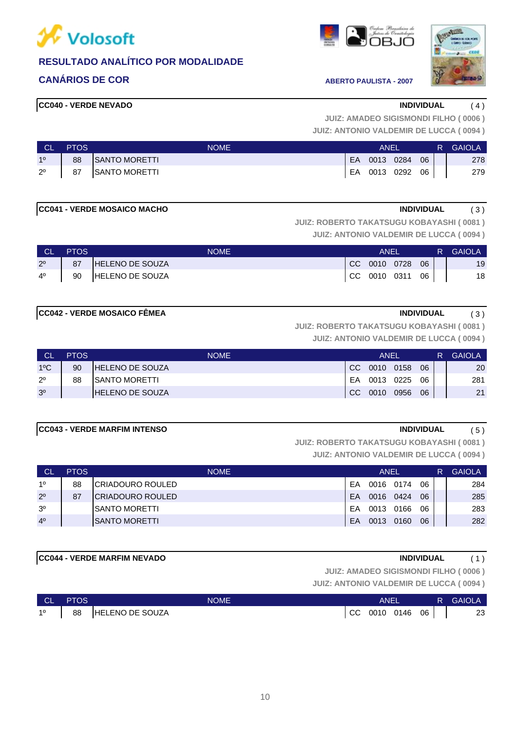

### **CANÁRIOS DE COR ABERTO PAULISTA - 2007**

#### **CC040 - VERDE NEVADO INDIVIDUAL** ( 4 )



**JUIZ: AMADEO SIGISMONDI FILHO ( 0006 )**

**JUIZ: ANTONIO VALDEMIR DE LUCCA ( 0094 )**

| <b>CL</b>      | <b>PTOS</b> | <b>NOME</b>          |     | ANEL         |      | R. | <b>GAIOLA</b> |
|----------------|-------------|----------------------|-----|--------------|------|----|---------------|
| 1 <sup>o</sup> | 88          | <b>SANTO MORETTI</b> | EA. | 0013 0284    | 06   |    | 278           |
| $2^{\circ}$    | 87          | SANTO MORETTI        |     | EA 0013 0292 | - 06 |    | 279           |

#### **CC041 - VERDE MOSAICO MACHO INDIVIDUAL** ( 3 )

**JUIZ: ROBERTO TAKATSUGU KOBAYASHI ( 0081 )**

**JUIZ: ANTONIO VALDEMIR DE LUCCA ( 0094 )**

| - CL           | <b>PTOS</b> | NOME                   | ANEI         |    | R. | <b>GAIOLA</b> |
|----------------|-------------|------------------------|--------------|----|----|---------------|
| 2 <sup>o</sup> | 87          | <b>HELENO DE SOUZA</b> | CC 0010 0728 | 06 |    | 19            |
| $4^{\circ}$    | 90          | HELENO DE SOUZA        | CC 0010 0311 | 06 |    | 18            |

#### **CC042 - VERDE MOSAICO FÊMEA INDIVIDUAL** ( 3 )

**JUIZ: ROBERTO TAKATSUGU KOBAYASHI ( 0081 )**

**JUIZ: ANTONIO VALDEMIR DE LUCCA ( 0094 )**

| N CL           | <b>PTOS</b> | <b>NOME</b>             |     | ANEL      |      |    | R | <b>GAIOLA</b> |
|----------------|-------------|-------------------------|-----|-----------|------|----|---|---------------|
| $1^{\circ}$ C  | 90          | <b>IHELENO DE SOUZA</b> | CC. | 0010 0158 |      | 06 |   | 20            |
| $2^{\circ}$    | 88          | <b>ISANTO MORETTI</b>   | FA. | 0013 0225 |      | 06 |   | 281           |
| 3 <sup>o</sup> |             | <b>HELENO DE SOUZA</b>  | CC. | 0010      | 0956 | 06 |   | 21            |

### **CC043 - VERDE MARFIM INTENSO INDIVIDUAL** ( 5 )

**JUIZ: ROBERTO TAKATSUGU KOBAYASHI ( 0081 )**

**JUIZ: ANTONIO VALDEMIR DE LUCCA ( 0094 )**

| ∟ CL           | <b>PTOS</b> | <b>NOME</b>             |    | ANEL |      |    |  | <b>GAIOLA</b> |
|----------------|-------------|-------------------------|----|------|------|----|--|---------------|
| 10             | 88          | ICRIADOURO ROULED       | EA | 0016 | 0174 | 06 |  | 284           |
| $2^{\circ}$    | 87          | <b>CRIADOURO ROULED</b> | EA | 0016 | 0424 | 06 |  | 285           |
| 3 <sup>o</sup> |             | <b>ISANTO MORETTI</b>   | EA | 0013 | 0166 | 06 |  | 283           |
| 4 <sup>0</sup> |             | ISANTO MORETTI          | EA | 0013 | 0160 | 06 |  | 282           |

### **CC044 - VERDE MARFIM NEVADO INDIVIDUAL** ( 1 )

**JUIZ: AMADEO SIGISMONDI FILHO ( 0006 )**

| $\overline{\phantom{a}}$ CL $\overline{\phantom{a}}$ | <b>PTOS</b> | <b>NOME</b>     | ANEI            |  | R GAIOLA |
|------------------------------------------------------|-------------|-----------------|-----------------|--|----------|
| 10                                                   | 88          | HELENO DE SOUZA | CC 0010 0146 06 |  | 23       |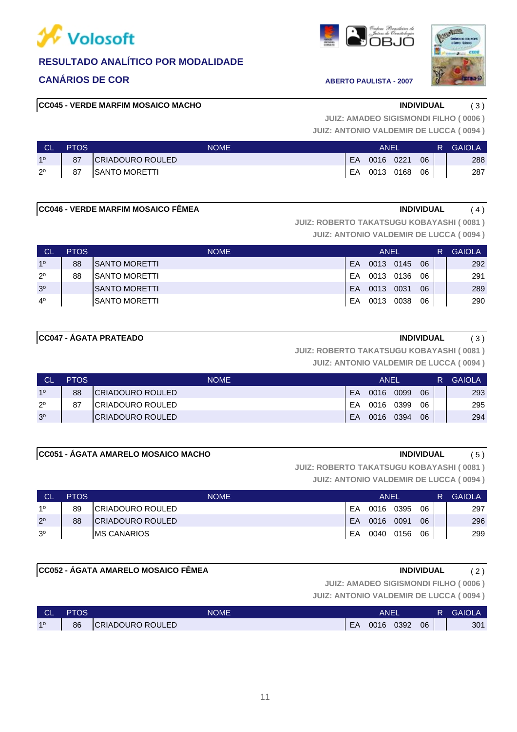

### **CANÁRIOS DE COR ABERTO PAULISTA - 2007**

#### **CC045 - VERDE MARFIM MOSAICO MACHO INDIVIDUAL** ( 3 )

**JUIZ: AMADEO SIGISMONDI FILHO ( 0006 )**

**JUIZ: ANTONIO VALDEMIR DE LUCCA ( 0094 )**

| ⊟ CL'       | <b>PTOS</b> | <b>NOME</b>      | ANEL |                 |  |    | <b>R</b> GAIOLA |
|-------------|-------------|------------------|------|-----------------|--|----|-----------------|
| 10          | 87          | CRIADOURO ROULED |      | EA 0016 0221    |  | 06 | 288             |
| $2^{\circ}$ | 87          | SANTO MORETTI    |      | EA 0013 0168 06 |  |    | 287             |

### **CC046 - VERDE MARFIM MOSAICO FÊMEA INDIVIDUAL** ( 4 )

**JUIZ: ROBERTO TAKATSUGU KOBAYASHI ( 0081 )**

**JUIZ: ANTONIO VALDEMIR DE LUCCA ( 0094 )**

| <b>CL</b>      | <b>PTOS</b> | <b>NOME</b>           |     | ANEL      |      |    | R. | <b>GAIOLA</b> |
|----------------|-------------|-----------------------|-----|-----------|------|----|----|---------------|
| 10             | 88          | ISANTO MORETTI        | EA  | 0013 0145 |      | 06 |    | 292           |
| $2^{\circ}$    | 88          | <b>ISANTO MORETTI</b> | FA  | 0013 0136 |      | 06 |    | 291           |
| 3 <sup>0</sup> |             | ISANTO MORETTI        | FA. | 0013      | 0031 | 06 |    | 289           |
| $4^{\circ}$    |             | ISANTO MORETTI        | EA  | 0013 0038 |      | 06 |    | 290           |

### **CC047 - ÁGATA PRATEADO INDIVIDUAL** ( 3 )

**JUIZ: ROBERTO TAKATSUGU KOBAYASHI ( 0081 )**

**JUIZ: ANTONIO VALDEMIR DE LUCCA ( 0094 )**

| <b>CL</b>      | <b>PTOS</b> | <b>NOME</b>              |    | ANEL |      |    | R | <b>GAIOLA</b> |
|----------------|-------------|--------------------------|----|------|------|----|---|---------------|
| 10             | 88          | <b>ICRIADOURO ROULED</b> | EA | 0016 | 0099 | 06 |   | 293           |
| $2^{\circ}$    | 87          | <b>ICRIADOURO ROULED</b> | EA | 0016 | 0399 | 06 |   | 295           |
| 3 <sup>o</sup> |             | ICRIADOURO ROULED        | EA | 0016 | 0394 | 06 |   | 294           |

### **CC051 - ÁGATA AMARELO MOSAICO MACHO INDIVIDUAL** ( 5 )

**JUIZ: ROBERTO TAKATSUGU KOBAYASHI ( 0081 )**

**JUIZ: ANTONIO VALDEMIR DE LUCCA ( 0094 )**

| <b>CL</b>      | <b>PTOS</b> | <b>NOME</b>              |    | ANEL      |      |    | <b>GAIOLA</b> |
|----------------|-------------|--------------------------|----|-----------|------|----|---------------|
| 10             | 89          | <b>ICRIADOURO ROULED</b> | FA | 0016 0395 |      | 06 | 297           |
| $2^{\circ}$    | 88          | <b>ICRIADOURO ROULED</b> | EA | 0016      | 0091 | 06 | 296           |
| 3 <sup>o</sup> |             | <b>IMS CANARIOS</b>      | EA | 0040 0156 |      | 06 | 299           |

### **CC052 - ÁGATA AMARELO MOSAICO FÊMEA INDIVIDUAL** ( 2 )

**JUIZ: AMADEO SIGISMONDI FILHO ( 0006 )**

| ∣ CL' | <b>PTOS</b> | NOME             |    | <b>ANEL</b> |      |    | R | <b>GAIOLA</b> |
|-------|-------------|------------------|----|-------------|------|----|---|---------------|
| 10    | 86          | CRIADOURO ROULED | EA | 0016        | 0392 | 06 |   | 301           |





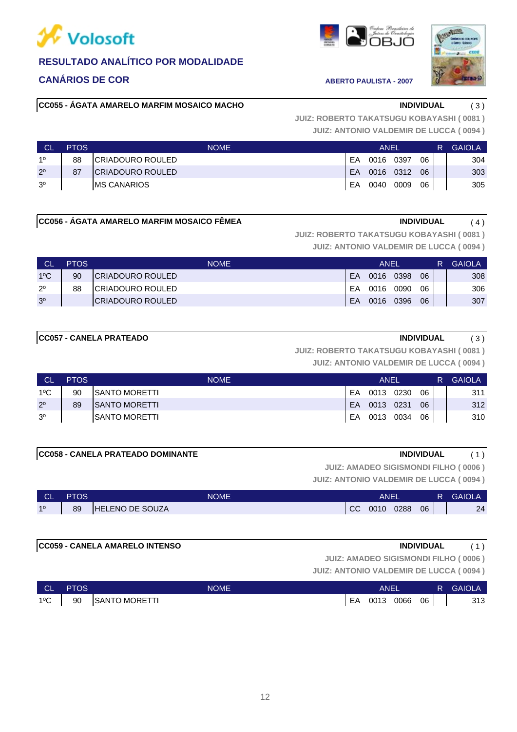

### **CANÁRIOS DE COR ABERTO PAULISTA - 2007**

#### **CC055 - ÁGATA AMARELO MARFIM MOSAICO MACHO INDIVIDUAL** ( 3 )

**JUIZ: ANTONIO VALDEMIR DE LUCCA ( 0094 ) JUIZ: ROBERTO TAKATSUGU KOBAYASHI ( 0081 )**

| <b>CL</b>      | <b>PTOS</b> | <b>NOME</b>         |           | ANEL |           |    | <b>GAIOLA</b> |
|----------------|-------------|---------------------|-----------|------|-----------|----|---------------|
| 10             | 88          | ICRIADOURO ROULED   | FA        | 0016 | 0397      | 06 | 304           |
| $2^{\circ}$    | 87          | ICRIADOURO ROULED   | <b>FA</b> |      | 0016 0312 | 06 | 303           |
| 3 <sup>o</sup> |             | <b>IMS CANARIOS</b> | EA        | 0040 | 0009      | 06 | 305           |

#### **CC056 - ÁGATA AMARELO MARFIM MOSAICO FÊMEA INDIVIDUAL** ( 4 )

**JUIZ: ROBERTO TAKATSUGU KOBAYASHI ( 0081 )**

**JUIZ: ANTONIO VALDEMIR DE LUCCA ( 0094 )**

|                | <b>PTOS</b> | <b>NOME</b>              | ANEI |      |      |    |  | <b>GAIOLA</b> |
|----------------|-------------|--------------------------|------|------|------|----|--|---------------|
| $1^{\circ}$ C  | 90          | <b>ICRIADOURO ROULED</b> | FA   | 0016 | 0398 | 06 |  | 308           |
| $2^{\circ}$    | 88          | ICRIADOURO ROULED        | FA   | 0016 | 0090 | 06 |  | 306           |
| 3 <sup>o</sup> |             | ICRIADOURO ROULED        | FA   | 0016 | 0396 | 06 |  | 307           |

#### **CC057 - CANELA PRATEADO INDIVIDUAL** ( 3 )

### **JUIZ: ROBERTO TAKATSUGU KOBAYASHI ( 0081 )**

**JUIZ: ANTONIO VALDEMIR DE LUCCA ( 0094 )**

| <b>CL</b>      | <b>PTOS</b> | <b>NOME</b>           |     | ANEL      |    | R. | <b>GAIOLA</b> |
|----------------|-------------|-----------------------|-----|-----------|----|----|---------------|
| 1ºC            | 90          | <b>ISANTO MORETTI</b> | FA  | 0013 0230 | 06 |    | 311           |
| $2^{\circ}$    | 89          | <b>ISANTO MORETTI</b> | FA. | 0013 0231 | 06 |    | 312           |
| 3 <sup>o</sup> |             | ISANTO MORETTI        | EA  | 0013 0034 | 06 |    | 310           |

**JUIZ: AMADEO SIGISMONDI FILHO ( 0006 )**

**JUIZ: ANTONIO VALDEMIR DE LUCCA ( 0094 )**

| <b>CL</b> | <b>PTOS</b> | <b>NOME</b>           |               | ANEI |      |    | <b>GAIOLA</b> |
|-----------|-------------|-----------------------|---------------|------|------|----|---------------|
| 10        | 89          | LENO DE SOUZA<br>IHEL | <sub>cc</sub> | 0010 | 0288 | 06 | 24            |

### **CC059 - CANELA AMARELO INTENSO INDIVIDUAL** ( 1 )

**JUIZ: AMADEO SIGISMONDI FILHO ( 0006 )**

| N CL          | <b>PTOS</b> | <b>NOME</b>   |    | <b>ANEI</b> |      |    | R GAIOLA |
|---------------|-------------|---------------|----|-------------|------|----|----------|
| $1^{\circ}$ C | 90          | SANTO MORETTI | EA | 0013        | 0066 | 06 | 313      |

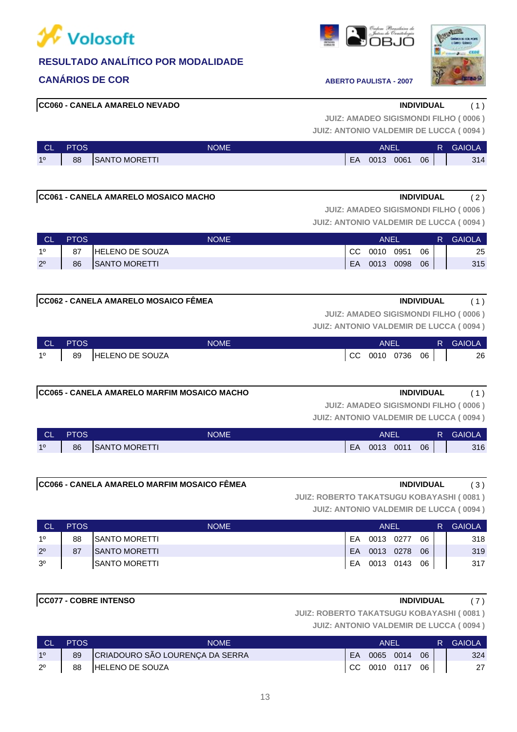

### **CANÁRIOS DE COR ABERTO PAULISTA - 2007**





#### **CC060 - CANELA AMARELO NEVADO INDIVIDUAL** ( 1 )

**JUIZ: AMADEO SIGISMONDI FILHO ( 0006 )**

| <b>JUIZ: ANTONIO VALDEMIR DE LUCCA (0094)</b> |  |  |  |
|-----------------------------------------------|--|--|--|
|-----------------------------------------------|--|--|--|

| <b>CL</b> | PTOS | <b>NOME</b>          |    | ANEI |      |    | <b>GAIOLA</b> |
|-----------|------|----------------------|----|------|------|----|---------------|
| 10        | 88   | <b>SANTO MORETTI</b> | EA | 0013 | 0061 | 06 | 314           |

### **CC061 - CANELA AMARELO MOSAICO MACHO INDIVIDUAL** ( 2 )

**JUIZ: AMADEO SIGISMONDI FILHO ( 0006 )**

**JUIZ: ANTONIO VALDEMIR DE LUCCA ( 0094 )**

| <b>CL</b>   | <b>PTOS</b> | <b>NOME</b>            |     | ANEI<br>0010 0951 |  |    |  | <b>GAIOLA</b><br>R. |
|-------------|-------------|------------------------|-----|-------------------|--|----|--|---------------------|
| 10          | 87          | <b>HELENO DE SOUZA</b> | CC. |                   |  | 06 |  | 25                  |
| $2^{\circ}$ | 86          | SANTO MORETTI          | EA  | 0013 0098         |  | 06 |  | 315                 |

#### **CC062 - CANELA AMARELO MOSAICO FÊMEA INDIVIDUAL** ( 1 )

**JUIZ: AMADEO SIGISMONDI FILHO ( 0006 )**

**JUIZ: ANTONIO VALDEMIR DE LUCCA ( 0094 )**

| $\begin{array}{ c c c }\n\hline\n\hline\n\end{array}$ CL $\begin{array}{ c c }\n\hline\n\end{array}$ | <b>PTOS</b> | NOME               | ANEL            |  | <b>R</b> GAIOLA |
|------------------------------------------------------------------------------------------------------|-------------|--------------------|-----------------|--|-----------------|
| $1^{\circ}$                                                                                          |             | 89 HELENO DE SOUZA | CC 0010 0736 06 |  | 26              |

#### **CC065 - CANELA AMARELO MARFIM MOSAICO MACHO INDIVIDUAL** ( 1 )

**JUIZ: ANTONIO VALDEMIR DE LUCCA ( 0094 ) JUIZ: AMADEO SIGISMONDI FILHO ( 0006 )**

| <b>CL</b> | PTOS | <b>NOME</b>    |    | ANE  |      |    | <b>GAIOLA</b> |
|-----------|------|----------------|----|------|------|----|---------------|
| 10        | 86   | ISANTO MORETTI | EA | 0013 | 0011 | 06 | 316           |

### **CC066 - CANELA AMARELO MARFIM MOSAICO FÊMEA INDIVIDUAL** ( 3 )

**JUIZ: ROBERTO TAKATSUGU KOBAYASHI ( 0081 )**

**JUIZ: ANTONIO VALDEMIR DE LUCCA ( 0094 )**

| <b>CL</b>      | <b>PTOS</b> | <b>NOME</b>           |     | ANEL<br>0013 0277 |  |    |  | <b>GAIOLA</b> |
|----------------|-------------|-----------------------|-----|-------------------|--|----|--|---------------|
| 10             | 88          | <b>ISANTO MORETTI</b> | FA. |                   |  | 06 |  | 318           |
| $2^{\circ}$    | 87          | ISANTO MORETTI        | EA. | 0013 0278         |  | 06 |  | 319           |
| 3 <sup>o</sup> |             | ISANTO MORETTI        | EA  | 0013 0143         |  | 06 |  | 317           |

#### **CC077 - COBRE INTENSO INDIVIDUAL** ( 7 )

**JUIZ: ROBERTO TAKATSUGU KOBAYASHI ( 0081 )**

| <b>CL</b>      | <b>PTOS</b> | NOME                            |    | ANEI              |    | R GAIOLA |
|----------------|-------------|---------------------------------|----|-------------------|----|----------|
| 1 <sup>0</sup> | 89          | CRIADOURO SÃO LOURENÇA DA SERRA | EA | 0065 0014         | 06 | 324      |
| $2^{\circ}$    | 88          | HELENO DE SOUZA                 |    | $CC$ 0010 0117 06 |    | 27       |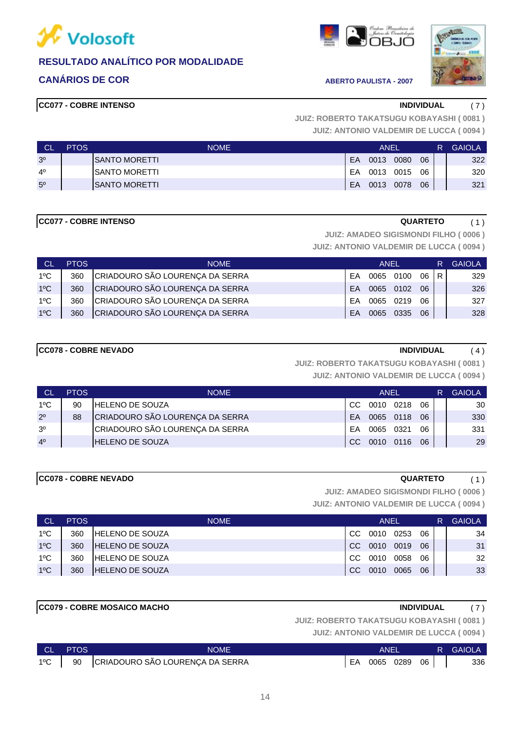

### **CANÁRIOS DE COR ABERTO PAULISTA - 2007**





#### **CC077 - COBRE INTENSO INDIVIDUAL** ( 7 )

**JUIZ: ANTONIO VALDEMIR DE LUCCA ( 0094 ) JUIZ: ROBERTO TAKATSUGU KOBAYASHI ( 0081 )**

| <b>CL</b>      | <b>PTOS</b> | <b>NOME</b>           |    | ANEL<br>0013<br>0080<br>0013<br>0015 |      |    |  | <b>GAIOLA</b> |
|----------------|-------------|-----------------------|----|--------------------------------------|------|----|--|---------------|
| 3 <sup>o</sup> |             | <b>ISANTO MORETTI</b> | EA |                                      |      | 06 |  | 322           |
| $4^{\circ}$    |             | <b>ISANTO MORETTI</b> | EA |                                      |      | 06 |  | 320           |
| $5^{\circ}$    |             | <b>ISANTO MORETTI</b> | EA | 0013                                 | 0078 | 06 |  | 321           |

#### **CC077 - COBRE INTENSO QUARTETO** ( 1 )

**JUIZ: AMADEO SIGISMONDI FILHO ( 0006 )**

**JUIZ: ANTONIO VALDEMIR DE LUCCA ( 0094 )**

| <b>CL</b>     | <b>PTOS</b> | <b>NOME</b>                     |           | ANEL |      |    | R. | <b>GAIOLA</b> |
|---------------|-------------|---------------------------------|-----------|------|------|----|----|---------------|
| $1^{\circ}$ C | 360         | CRIADOURO SÃO LOURENÇA DA SERRA | FA        | 0065 | 0100 | 06 | R  | 329           |
| $1^{\circ}C$  | 360         | CRIADOURO SÃO LOURENÇA DA SERRA | <b>FA</b> | 0065 | 0102 | 06 |    | 326           |
| $1^{\circ}$ C | 360         | CRIADOURO SÃO LOURENÇA DA SERRA | <b>FA</b> | 0065 | 0219 | 06 |    | 327           |
| $1^{\circ}$ C | 360         | CRIADOURO SÃO LOURENÇA DA SERRA | <b>FA</b> | 0065 | 0335 | 06 |    | 328           |

### **CC078 - COBRE NEVADO INDIVIDUAL** ( 4 )

**JUIZ: ROBERTO TAKATSUGU KOBAYASHI ( 0081 )**

**JUIZ: ANTONIO VALDEMIR DE LUCCA ( 0094 )**

| CI.            | <b>PTOS</b> | <b>NOME</b>                     |           | ANEL      |      |    | R | <b>GAIOLA</b> |
|----------------|-------------|---------------------------------|-----------|-----------|------|----|---|---------------|
| $1^{\circ}$ C  | 90          | <b>HELENO DE SOUZA</b>          | CC.       | 0010 0218 |      | 06 |   | 30            |
| $2^{\circ}$    | 88          | CRIADOURO SÃO LOURENÇA DA SERRA | <b>FA</b> | 0065 0118 |      | 06 |   | 330           |
| 3 <sup>o</sup> |             | CRIADOURO SÃO LOURENÇA DA SERRA | FA        | 0065      | 0321 | 06 |   | 331           |
| 4 <sup>0</sup> |             | <b>HELENO DE SOUZA</b>          | CC.       | 0010 0116 |      | 06 |   | 29            |

#### **CC078 - COBRE NEVADO QUARTETO** ( 1 )

**JUIZ: AMADEO SIGISMONDI FILHO ( 0006 )**

**JUIZ: ANTONIO VALDEMIR DE LUCCA ( 0094 )**

| CL            | <b>PTOS</b> | <b>NOME</b>             |               | ANEL |      |    | R. | <b>GAIOLA</b> |
|---------------|-------------|-------------------------|---------------|------|------|----|----|---------------|
| $1^{\circ}$ C | 360         | <b>IHELENO DE SOUZA</b> | .CC           | 0010 | 0253 | 06 |    | 34            |
| $1^{\circ}$ C | 360         | <b>HELENO DE SOUZA</b>  | <sub>CC</sub> | 0010 | 0019 | 06 |    | 31            |
| $1^{\circ}$ C | 360         | <b>IHELENO DE SOUZA</b> | <sub>CC</sub> | 0010 | 0058 | 06 |    | 32            |
| $1^{\circ}$ C | 360         | <b>IHELENO DE SOUZA</b> | <sub>CC</sub> | 0010 | 0065 | 06 |    | 33            |

#### **CC079 - COBRE MOSAICO MACHO INDIVIDUAL** ( 7 )

**JUIZ: ROBERTO TAKATSUGU KOBAYASHI ( 0081 )**

|               | CL PTOS | <b>NOME</b>                        | ANEI |                 |  |  | <b>R</b> GAIOLA |
|---------------|---------|------------------------------------|------|-----------------|--|--|-----------------|
| $1^{\circ}$ C |         | 90 CRIADOURO SÃO LOURENÇA DA SERRA |      | EA 0065 0289 06 |  |  | 336             |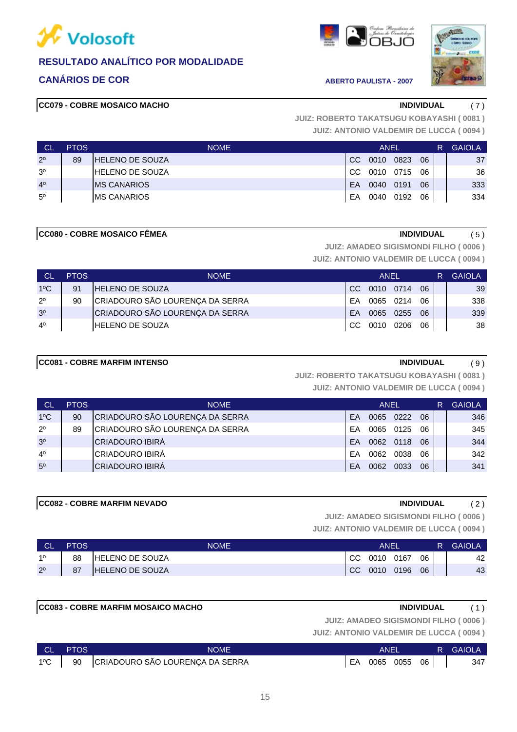

### **CANÁRIOS DE COR ABERTO PAULISTA - 2007**





#### **CC079 - COBRE MOSAICO MACHO INDIVIDUAL** ( 7 )

**JUIZ: ANTONIO VALDEMIR DE LUCCA ( 0094 ) JUIZ: ROBERTO TAKATSUGU KOBAYASHI ( 0081 )**

| L CL           | <b>PTOS</b> | <b>NOME</b>            |               | ANEL |      |    | R | <b>GAIOLA</b> |
|----------------|-------------|------------------------|---------------|------|------|----|---|---------------|
| $2^{\circ}$    | 89          | IHELENO DE SOUZA       | <sub>CC</sub> | 0010 | 0823 | 06 |   | 37            |
| 3 <sup>o</sup> |             | <b>HELENO DE SOUZA</b> | CC.           | 0010 | 0715 | 06 |   | 36            |
| 4 <sup>0</sup> |             | <b>IMS CANARIOS</b>    | EA            | 0040 | 0191 | 06 |   | 333           |
| $5^{\circ}$    |             | <b>IMS CANARIOS</b>    | EA            | 0040 | 0192 | 06 |   | 334           |

#### **CC080 - COBRE MOSAICO FÊMEA INDIVIDUAL** ( 5 )

**JUIZ: AMADEO SIGISMONDI FILHO ( 0006 )**

**JUIZ: ANTONIO VALDEMIR DE LUCCA ( 0094 )**

| - CL           | <b>PTOS</b> | <b>NOME</b>                     |           | <b>ANFL</b>  |           |    | R | <b>GAIOLA</b> |
|----------------|-------------|---------------------------------|-----------|--------------|-----------|----|---|---------------|
| $1^{\circ}$ C  | 91          | <b>HELENO DE SOUZA</b>          | CC        | 0010 0714    |           | 06 |   | 39            |
| $2^{\circ}$    | 90          | CRIADOURO SÃO LOURENÇA DA SERRA | FA        |              | 0065 0214 | 06 |   | 338           |
| 3 <sup>o</sup> |             | CRIADOURO SÃO LOURENÇA DA SERRA | <b>FA</b> | 0065 0255    |           | 06 |   | 339           |
| $4^{\circ}$    |             | <b>HELENO DE SOUZA</b>          |           | CC 0010 0206 |           | 06 |   | 38            |

### **CC081 - COBRE MARFIM INTENSO INDIVIDUAL** ( 9 )

**JUIZ: ROBERTO TAKATSUGU KOBAYASHI ( 0081 )**

**JUIZ: ANTONIO VALDEMIR DE LUCCA ( 0094 )**

| <b>CL</b>      | <b>PTOS</b> | <b>NOME</b>                     |    | ANEL |           |    | R. | <b>GAIOLA</b> |
|----------------|-------------|---------------------------------|----|------|-----------|----|----|---------------|
| $1^{\circ}$ C  | 90          | CRIADOURO SÃO LOURENÇA DA SERRA | EA |      | 0065 0222 | 06 |    | 346           |
| $2^{\circ}$    | 89          | CRIADOURO SÃO LOURENÇA DA SERRA | FΑ | 0065 | 0125      | 06 |    | 345           |
| 3 <sup>o</sup> |             | <b>CRIADOURO IBIRÁ</b>          | FA |      | 0062 0118 | 06 |    | 344           |
| 4 <sup>0</sup> |             | <b>CRIADOURO IBIRÁ</b>          | FΑ | 0062 | 0038      | 06 |    | 342           |
| 5 <sup>0</sup> |             | <b>CRIADOURO IBIRÁ</b>          | EA | 0062 | 0033      | 06 |    | 341           |

#### **CC082 - COBRE MARFIM NEVADO INDIVIDUAL** ( 2 )

**JUIZ: AMADEO SIGISMONDI FILHO ( 0006 )**

| ∣ CL'       | <b>PTOS</b> | <b>NOME</b>             |     | ANEL |      |    | R | <b>GAIOLA</b> |
|-------------|-------------|-------------------------|-----|------|------|----|---|---------------|
| 10          | 88          | <b>IHELENO DE SOUZA</b> | CC. | 0010 | 0167 | 06 |   | 42            |
| $2^{\circ}$ | 87          | <b>HELENO DE SOUZA</b>  | CC. | 0010 | 0196 | 06 |   | 43            |

| <b>ICC083 - COBRE MARFIM MOSAICO MACHO</b> | <b>INDIVIDUAL</b>                             | (1) |
|--------------------------------------------|-----------------------------------------------|-----|
|                                            | JUIZ: AMADEO SIGISMONDI FILHO (0006)          |     |
|                                            | <b>JUIZ: ANTONIO VALDEMIR DE LUCCA (0094)</b> |     |

|               | CL PTOS | <b>NOME</b>                        | ANEI |                 |  | <b>R</b> GAIOLA |
|---------------|---------|------------------------------------|------|-----------------|--|-----------------|
| $1^{\circ}$ C |         | 90 CRIADOURO SÃO LOURENÇA DA SERRA |      | EA 0065 0055 06 |  | 347             |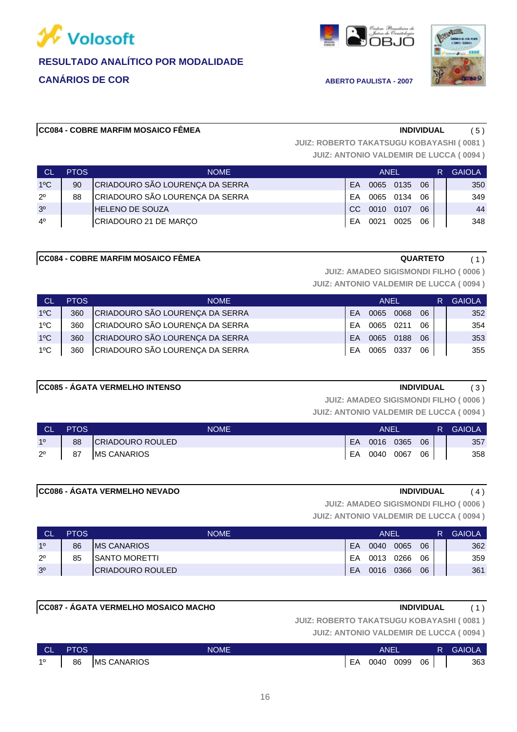





#### **CC084 - COBRE MARFIM MOSAICO FÊMEA INDIVIDUAL** ( 5 )

**JUIZ: ROBERTO TAKATSUGU KOBAYASHI ( 0081 )**

**JUIZ: ANTONIO VALDEMIR DE LUCCA ( 0094 )**

| <b>CL</b>      | <b>PTOS</b> | <b>NOME</b>                     |           | <b>ANEL</b> |      |    | R | <b>GAIOLA</b> |
|----------------|-------------|---------------------------------|-----------|-------------|------|----|---|---------------|
| $1^{\circ}$ C  | 90          | CRIADOURO SÃO LOURENÇA DA SERRA | <b>FA</b> | 0065        | 0135 | 06 |   | 350           |
| $2^{\circ}$    | 88          | CRIADOURO SÃO LOURENÇA DA SERRA | FA        | 0065        | 0134 | 06 |   | 349           |
| 3 <sup>o</sup> |             | <b>HELENO DE SOUZA</b>          | -CC       | 0010        | 0107 | 06 |   | 44            |
| $4^{\circ}$    |             | CRIADOURO 21 DE MARÇO           | FΑ        | 0021        | 0025 | 06 |   | 348           |

#### **CC084 - COBRE MARFIM MOSAICO FÊMEA CC084 - COBRE MARTEM MOSAICO FÊMEA**

**JUIZ: AMADEO SIGISMONDI FILHO ( 0006 )**

**JUIZ: ANTONIO VALDEMIR DE LUCCA ( 0094 )**

| <b>CL</b>     | <b>PTOS</b> | <b>NOME</b>                     |           | ANEL      |      |    | R | <b>GAIOLA</b> |
|---------------|-------------|---------------------------------|-----------|-----------|------|----|---|---------------|
| $1^{\circ}$ C | 360         | CRIADOURO SÃO LOURENÇA DA SERRA | <b>FA</b> | 0065      | 0068 | 06 |   | 352           |
| $1^{\circ}$ C | 360         | CRIADOURO SÃO LOURENÇA DA SERRA | FA.       | 0065 0211 |      | 06 |   | 354           |
| $1^{\circ}$ C | 360         | CRIADOURO SÃO LOURENÇA DA SERRA | FA.       | 0065      | 0188 | 06 |   | 353           |
| $1^{\circ}$ C | 360         | CRIADOURO SÃO LOURENÇA DA SERRA | FA        | 0065      | 0337 | 06 |   | 355           |

#### **CC085 - ÁGATA VERMELHO INTENSO INDIVIDUAL** ( 3 )

**JUIZ: AMADEO SIGISMONDI FILHO ( 0006 )**

**JUIZ: ANTONIO VALDEMIR DE LUCCA ( 0094 )**

| <b>CL</b>   | <b>PTOS</b> | <b>NOME</b>        |    | ANEI      |      |    | R I | GAIOLA <sup>1</sup> |
|-------------|-------------|--------------------|----|-----------|------|----|-----|---------------------|
| 10          | 88          | CRIADOURO ROULED   | EA | 0016 0365 |      | 06 |     | 357                 |
| $2^{\circ}$ | 87          | <b>MS CANARIOS</b> | EA | 0040      | 0067 | 06 |     | 358                 |

#### **CC086 - ÁGATA VERMELHO NEVADO INDIVIDUAL** ( 4 )

**JUIZ: AMADEO SIGISMONDI FILHO ( 0006 )**

**JUIZ: ANTONIO VALDEMIR DE LUCCA ( 0094 )**

| <b>CL</b>      | <b>PTOS</b> | <b>NOME</b>           |    | ANEL |      |    | R | <b>GAIOLA</b> |
|----------------|-------------|-----------------------|----|------|------|----|---|---------------|
| 10             | 86          | <b>IMS CANARIOS</b>   | EA | 0040 | 0065 | 06 |   | 362           |
| $2^{\circ}$    | 85          | <b>ISANTO MORETTI</b> | EA | 0013 | 0266 | 06 |   | 359           |
| 3 <sup>o</sup> |             | ICRIADOURO ROULED     | EA | 0016 | 0366 | 06 |   | 361           |

### **CC087 - ÁGATA VERMELHO MOSAICO MACHO INDIVIDUAL** ( 1 )

**JUIZ: ROBERTO TAKATSUGU KOBAYASHI ( 0081 )**

| <b>CL</b> | <b>PTOS</b> | <b>NOME</b>         |    | <b>ANEI</b> |      |    | R | <b>GAIOLA</b> |
|-----------|-------------|---------------------|----|-------------|------|----|---|---------------|
| 10        | 86          | <b>IMS CANARIOS</b> | EA | 0040        | 0099 | 06 |   | 363           |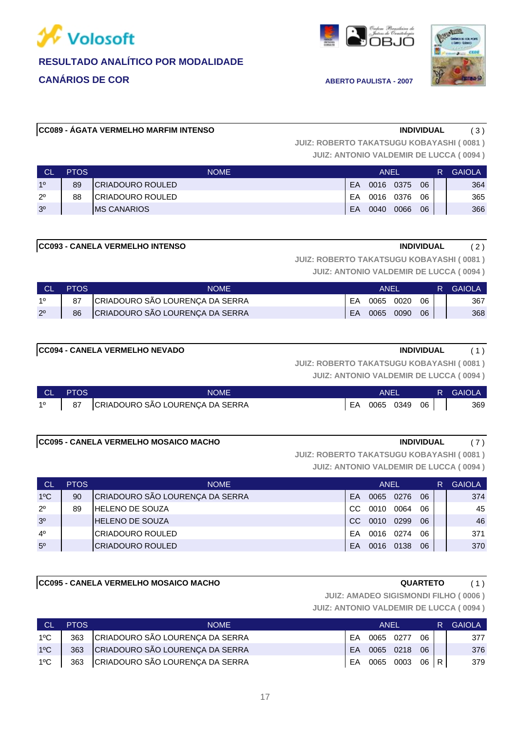





#### **CC089 - ÁGATA VERMELHO MARFIM INTENSO INDIVIDUAL** ( 3 )

**JUIZ: ROBERTO TAKATSUGU KOBAYASHI ( 0081 )**

**JUIZ: ANTONIO VALDEMIR DE LUCCA ( 0094 )**

| <b>CL</b>      | <b>PTOS</b> | NOME                     |    | ANEI |      |    | R | <b>GAIOLA</b> |
|----------------|-------------|--------------------------|----|------|------|----|---|---------------|
| 10             | 89          | <b>ICRIADOURO ROULED</b> | EA | 0016 | 0375 | 06 |   | 364           |
| $2^{\circ}$    | 88          | ICRIADOURO ROULED        | ЕA | 0016 | 0376 | 06 |   | 365           |
| 3 <sup>o</sup> |             | <b>IMS CANARIOS</b>      | EΑ | 0040 | 0066 | 06 |   | 366           |

#### **CC093 - CANELA VERMELHO INTENSO INDIVIDUAL** ( 2 )

**JUIZ: ROBERTO TAKATSUGU KOBAYASHI ( 0081 )**

**JUIZ: ANTONIO VALDEMIR DE LUCCA ( 0094 )**

|             | <b>PTOS</b> | NOME                            |    | <b>ANEL</b> |      |    | R GAIOLA |
|-------------|-------------|---------------------------------|----|-------------|------|----|----------|
| 10          | 87          | CRIADOURO SÃO LOURENÇA DA SERRA | EA | 0065 0020   |      | 06 | 367      |
| $2^{\circ}$ | 86          | CRIADOURO SÃO LOURENÇA DA SERRA | EA | 0065        | 0090 | 06 | 368      |

#### **CC094 - CANELA VERMELHO NEVADO INDIVIDUAL** ( 1 )

**JUIZ: ANTONIO VALDEMIR DE LUCCA ( 0094 ) JUIZ: ROBERTO TAKATSUGU KOBAYASHI ( 0081 )**

| ∣ CL ∃      | <b>PTOS</b> | <b>NOME</b>                        |    | <b>ANEI</b> |      | <b>R</b> GAIOLA |
|-------------|-------------|------------------------------------|----|-------------|------|-----------------|
| $1^{\circ}$ |             | 87 CRIADOURO SÃO LOURENÇA DA SERRA | EA | 0065 0349   | - 06 | 369             |

#### **CC095 - CANELA VERMELHO MOSAICO MACHO INDIVIDUAL** ( 7 )

**JUIZ: ANTONIO VALDEMIR DE LUCCA ( 0094 ) JUIZ: ROBERTO TAKATSUGU KOBAYASHI ( 0081 )**

| <b>CL</b>      | <b>PTOS</b> | <b>NOME</b>                     |     | ANEL |      |    | R | <b>GAIOLA</b>   |
|----------------|-------------|---------------------------------|-----|------|------|----|---|-----------------|
| $1^{\circ}$ C  | 90          | CRIADOURO SÃO LOURENÇA DA SERRA | EA  | 0065 | 0276 | 06 |   | 374             |
| $2^{\circ}$    | 89          | <b>HELENO DE SOUZA</b>          | CC. | 0010 | 0064 | 06 |   | 45              |
| 3 <sup>o</sup> |             | <b>HELENO DE SOUZA</b>          | CC. | 0010 | 0299 | 06 |   | 46              |
| 4 <sup>0</sup> |             | ICRIADOURO ROULED               | FA  | 0016 | 0274 | 06 |   | 371             |
| 5 <sup>0</sup> |             | <b>CRIADOURO ROULED</b>         | EA  | 0016 | 0138 | 06 |   | 37 <sub>C</sub> |

#### **CC095 - CANELA VERMELHO MOSAICO MACHO QUARTETO** ( 1 )

**JUIZ: AMADEO SIGISMONDI FILHO ( 0006 )**

| <b>CL</b>     | <b>PTOS</b> | <b>NOME</b>                         |    | <b>ANFI</b> |              |        | R. | GAIOLA |
|---------------|-------------|-------------------------------------|----|-------------|--------------|--------|----|--------|
| 1ºC           |             | 363 CRIADOURO SÃO LOURENÇA DA SERRA | FA | 0065 0277   |              | 06     |    | 377    |
| $1^{\circ}$ C |             | 363 CRIADOURO SÃO LOURENÇA DA SERRA |    |             | EA 0065 0218 | 06     |    | 376    |
| $1^{\circ}$ C |             | 363 CRIADOURO SÃO LOURENÇA DA SERRA | EA |             | 0065 0003    | 06 R I |    | 379    |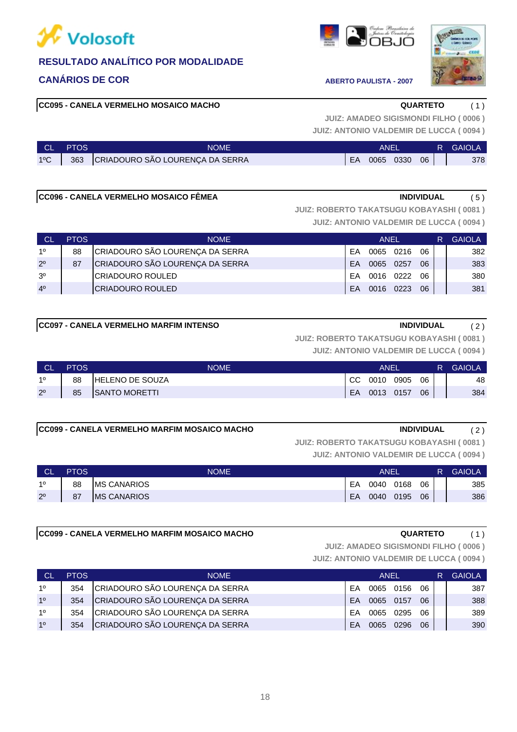

### **CANÁRIOS DE COR ABERTO PAULISTA - 2007**

#### **CC095 - CANELA VERMELHO MOSAICO MACHO QUARTETO** ( 1 )

### 18

**JUIZ: ANTONIO VALDEMIR DE LUCCA ( 0094 ) JUIZ: AMADEO SIGISMONDI FILHO ( 0006 )**

| <b>CLI</b>    | <b>PTOS</b> | <b>NOME</b>                         |    | ANFI |           |    | <b>R</b> GAIOLA |
|---------------|-------------|-------------------------------------|----|------|-----------|----|-----------------|
| $1^{\circ}$ C |             | 363 CRIADOURO SÃO LOURENÇA DA SERRA | EA |      | 0065 0330 | 06 | 378             |

### **CC096 - CANELA VERMELHO MOSAICO FÊMEA INDIVIDUAL** ( 5 )

**JUIZ: ROBERTO TAKATSUGU KOBAYASHI ( 0081 )**

**JUIZ: ANTONIO VALDEMIR DE LUCCA ( 0094 )**

| <b>CL</b>      | <b>PTOS</b> | <b>NOME</b>                     |    | ANEL      |      |    | R | <b>GAIOLA</b> |
|----------------|-------------|---------------------------------|----|-----------|------|----|---|---------------|
| 10             | 88          | CRIADOURO SÃO LOURENÇA DA SERRA | FA | 0065      | 0216 | 06 |   | 382           |
| $2^{\circ}$    | 87          | CRIADOURO SÃO LOURENÇA DA SERRA | FA | 0065      | 0257 | 06 |   | 383           |
| 3 <sup>o</sup> |             | ICRIADOURO ROULED               | FΑ | 0016 0222 |      | 06 |   | 380           |
| 4 <sup>0</sup> |             | <b>ICRIADOURO ROULED</b>        | FA | 0016      | 0223 | 06 |   | 381           |

### **CC097 - CANELA VERMELHO MARFIM INTENSO INDIVIDUAL** ( 2 )

**JUIZ: ROBERTO TAKATSUGU KOBAYASHI ( 0081 )**

**JUIZ: ANTONIO VALDEMIR DE LUCCA ( 0094 )**

| <b>CL</b>   | <b>PTOS</b> | NOME                   |     | ANEI      |      |    | R. | <b>GAIOLA</b> |
|-------------|-------------|------------------------|-----|-----------|------|----|----|---------------|
| 10          | 88          | <b>HELENO DE SOUZA</b> | CC. | 0010      | 0905 | 06 |    | 48            |
| $2^{\circ}$ | 85          | <b>ISANTO MORETTI</b>  | EA  | 0013 0157 |      | 06 |    | 384           |

#### **CC099 - CANELA VERMELHO MARFIM MOSAICO MACHO INDIVIDUAL** ( 2 )

**JUIZ: ROBERTO TAKATSUGU KOBAYASHI ( 0081 )**

**JUIZ: ANTONIO VALDEMIR DE LUCCA ( 0094 )**

| <b>CL</b>   | <b>PTOS</b> | <b>NOME</b>         |    | <b>ANEI</b> |      |    | R. | <b>GAIOLA</b> |
|-------------|-------------|---------------------|----|-------------|------|----|----|---------------|
| 10          | 88          | <b>IMS CANARIOS</b> | EA | 0040        | 0168 | 06 |    | 385           |
| $2^{\circ}$ | 87          | <b>MS CANARIOS</b>  | EA | 0040        | 0195 | 06 |    | 386           |

#### **CC099 - CANELA VERMELHO MARFIM MOSAICO MACHO QUARTETO** ( 1 )

**JUIZ: AMADEO SIGISMONDI FILHO ( 0006 )**

| <b>CL</b>      | <b>PTOS</b> | <b>NOME</b>                     |           | <b>ANEL</b> |      |    | <b>GAIOLA</b> |
|----------------|-------------|---------------------------------|-----------|-------------|------|----|---------------|
| 10             | 354         | CRIADOURO SÃO LOURENÇA DA SERRA | FA        | 0065        | 0156 | 06 | 387           |
| 1 <sup>0</sup> | 354         | CRIADOURO SÃO LOURENÇA DA SERRA | <b>FA</b> | 0065 0157   |      | 06 | 388           |
| 10             | 354         | CRIADOURO SÃO LOURENÇA DA SERRA | FA        | 0065        | 0295 | റഭ | 389           |
| 10             | 354         | CRIADOURO SÃO LOURENÇA DA SERRA | <b>FA</b> | 0065        | 0296 | 06 | 390           |

| 西形<br>D |
|---------|



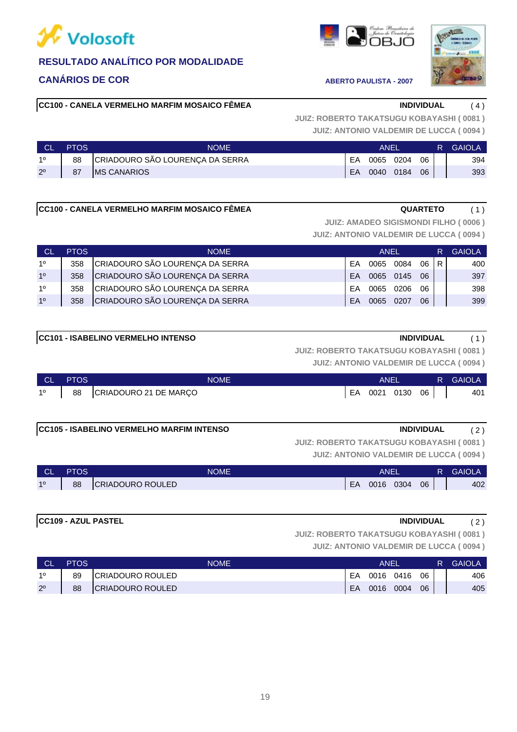

### **CANÁRIOS DE COR ABERTO PAULISTA - 2007**

**CC100 - CANELA VERMELHO MARFIM MOSAICO FÊMEA INDIVIDUAL** ( 4 )

**JUIZ: ANTONIO VALDEMIR DE LUCCA ( 0094 ) JUIZ: ROBERTO TAKATSUGU KOBAYASHI ( 0081 )**

| ∟ CL        | <b>PTOS</b> | NOME                            |    | ANFI      |      |    | R | <b>GAIOLA</b> |
|-------------|-------------|---------------------------------|----|-----------|------|----|---|---------------|
| 10          | 88          | CRIADOURO SÃO LOURENÇA DA SERRA | EA | 0065      | 0204 | 06 |   | 394           |
| $2^{\circ}$ | 87          | <b>IMS CANARIOS</b>             | EA | 0040 0184 |      | 06 |   | 393           |

#### **CC100 - CANELA VERMELHO MARFIM MOSAICO FÊMEA GUARTETO** (1)

**JUIZ: AMADEO SIGISMONDI FILHO ( 0006 )**

**JUIZ: ANTONIO VALDEMIR DE LUCCA ( 0094 )**

| <b>CL</b>      | <b>PTOS</b> | <b>NOME</b>                     |           | ANEL      |      |      | R. | <b>GAIOLA</b> |
|----------------|-------------|---------------------------------|-----------|-----------|------|------|----|---------------|
| 10             | 358         | CRIADOURO SÃO LOURENÇA DA SERRA | FA        | 0065      | 0084 | 06 R |    | 400           |
| 1 <sup>0</sup> | 358         | CRIADOURO SÃO LOURENÇA DA SERRA | <b>FA</b> | 0065 0145 |      | 06   |    | 397           |
| 10             | 358         | CRIADOURO SÃO LOURENÇA DA SERRA | FA        | 0065      | 0206 | 06   |    | 398           |
| 10             | 358         | CRIADOURO SÃO LOURENÇA DA SERRA | FA        | 0065      | 0207 | 06   |    | 399           |

| <b>CC101 - ISABELINO VERMELHO INTENSO</b> | <b>INDIVIDUAL</b> |  |
|-------------------------------------------|-------------------|--|

**JUIZ: ROBERTO TAKATSUGU KOBAYASHI ( 0081 )**

**JUIZ: ANTONIO VALDEMIR DE LUCCA ( 0094 )**

| ∴ CL '         | <b>PTOS</b> | NOME                  |    | ANEI |      |    | <b>R</b> GAIOLA |
|----------------|-------------|-----------------------|----|------|------|----|-----------------|
| 1 <sup>0</sup> | 88          | CRIADOURO 21 DE MARÇO | EA | 0021 | 0130 | 06 | 401             |

### **CC105 - ISABELINO VERMELHO MARFIM INTENSO INDIVIDUAL** ( 2 )

**JUIZ: ROBERTO TAKATSUGU KOBAYASHI ( 0081 )**

**JUIZ: ANTONIO VALDEMIR DE LUCCA ( 0094 )**

| <b>CL</b> | PTOS | <b>NOME</b>              |    | ANEI |      |    |  | <b>GAIOLA</b> |
|-----------|------|--------------------------|----|------|------|----|--|---------------|
| 10        | 88   | <b>ICRIADOURO ROULED</b> | EA | 0016 | 0304 | 06 |  | 402           |

#### **CC109 - AZUL PASTEL INDIVIDUAL** ( 2 )

**JUIZ: ROBERTO TAKATSUGU KOBAYASHI ( 0081 )**

| <b>CL</b>   | <b>PTOS</b> | <b>NOME</b>      |    | ANEI      |      |    | R. | <b>GAIOLA</b> |
|-------------|-------------|------------------|----|-----------|------|----|----|---------------|
| 10          | 89          | CRIADOURO ROULED | EA | 0016 0416 |      | 06 |    | 406           |
| $2^{\circ}$ | 88          | CRIADOURO ROULED | EA | 0016      | 0004 | 06 |    | 405           |





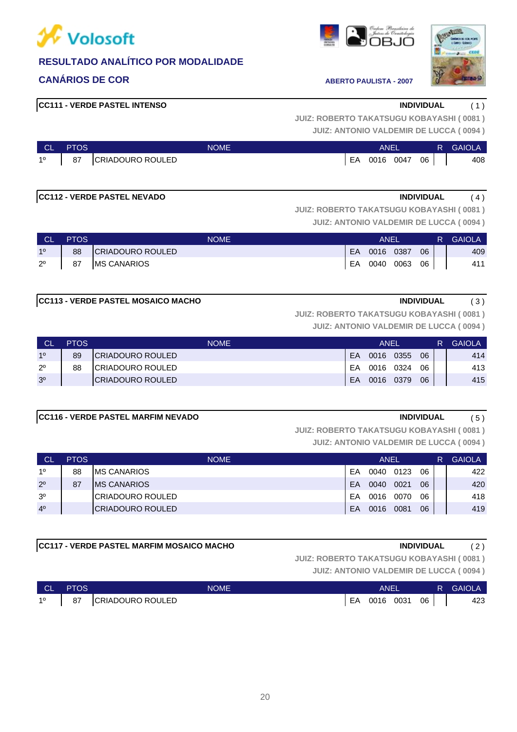



**CANÁRIOS DE COR ABERTO PAULISTA - 2007** 

**JUIZ: ANTONIO VALDEMIR DE LUCCA ( 0094 ) JUIZ: ROBERTO TAKATSUGU KOBAYASHI ( 0081 )**

| <b>CL</b>   | <b>PTOS</b> | <b>NOME</b>      |    | ANEI |           |    | R | <b>GAIOLA</b> |
|-------------|-------------|------------------|----|------|-----------|----|---|---------------|
| $1^{\circ}$ | 87          | CRIADOURO ROULED | EA |      | 0016 0047 | 06 |   | 408           |

### **CC112 - VERDE PASTEL NEVADO INDIVIDUAL** ( 4 )

**JUIZ: ROBERTO TAKATSUGU KOBAYASHI ( 0081 )**

**JUIZ: ANTONIO VALDEMIR DE LUCCA ( 0094 )**

| <b>NCL</b>     | <b>PTOS</b> | <b>NOME</b>        | ANEL |           |  |    | R. | <b>GAIOLA</b> |
|----------------|-------------|--------------------|------|-----------|--|----|----|---------------|
| 1 <sup>0</sup> | 88          | CRIADOURO ROULED   | EA   | 0016 0387 |  | 06 |    | 409           |
| $2^{\circ}$    | 87          | <b>MS CANARIOS</b> | EA   | 0040 0063 |  | 06 |    | 411           |

**JUIZ: ROBERTO TAKATSUGU KOBAYASHI ( 0081 )**

**JUIZ: ANTONIO VALDEMIR DE LUCCA ( 0094 )**

| <b>CL</b>      | <b>PTOS</b> | <b>NOME</b>              |    | ANEL      |      |    | R. | <b>GAIOLA</b> |
|----------------|-------------|--------------------------|----|-----------|------|----|----|---------------|
| 10             | 89          | <b>ICRIADOURO ROULED</b> | EA | 0016      | 0355 | 06 |    | 414           |
| $2^{\circ}$    | 88          | <b>ICRIADOURO ROULED</b> | FA | 0016 0324 |      | 06 |    | 413           |
| 3 <sup>o</sup> |             | <b>ICRIADOURO ROULED</b> | EA | 0016 0379 |      | 06 |    | 415           |

#### **CC116 - VERDE PASTEL MARFIM NEVADO INDIVIDUAL** ( 5 )

**JUIZ: ROBERTO TAKATSUGU KOBAYASHI ( 0081 )**

**JUIZ: ANTONIO VALDEMIR DE LUCCA ( 0094 )**

| <b>CL</b>      | <b>PTOS</b> | <b>NOME</b>              |    | ANEL |      |    | R. | <b>GAIOLA</b>   |
|----------------|-------------|--------------------------|----|------|------|----|----|-----------------|
| 10             | 88          | <b>IMS CANARIOS</b>      | EA | 0040 | 0123 | 06 |    | 422             |
| $2^{\circ}$    | 87          | <b>IMS CANARIOS</b>      | FA | 0040 | 0021 | 06 |    | 42 <sub>C</sub> |
| 3 <sup>0</sup> |             | <b>ICRIADOURO ROULED</b> | EA | 0016 | 0070 | 06 |    | 418             |
| 4 <sup>0</sup> |             | <b>CRIADOURO ROULED</b>  | EA | 0016 | 0081 | 06 |    | 41S             |

### **CC117 - VERDE PASTEL MARFIM MOSAICO MACHO INDIVIDUAL** ( 2 )

**JUIZ: ROBERTO TAKATSUGU KOBAYASHI ( 0081 )**

| <b>NCL</b> | <b>PTOS</b> | <b>NOME</b>      |    | ANEI |      |    | R | <b>GAIOLA</b> |
|------------|-------------|------------------|----|------|------|----|---|---------------|
| 10         | 87          | CRIADOURO ROULED | EA | 0016 | 0031 | 06 |   | 423           |







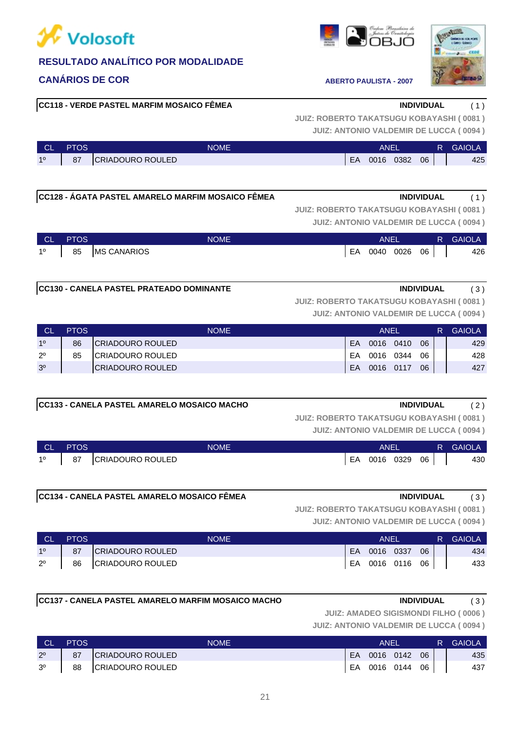

### **CANÁRIOS DE COR ABERTO PAULISTA - 2007**

#### **CC118 - VERDE PASTEL MARFIM MOSAICO FÊMEA INDIVIDUAL** ( 1 )

**JUIZ: ANTONIO VALDEMIR DE LUCCA ( 0094 ) JUIZ: ROBERTO TAKATSUGU KOBAYASHI ( 0081 )**

| <b>CL</b> | PTOS | <b>NOME</b>             |    | ANE  |      |    | R | <b>GAIOL</b> |
|-----------|------|-------------------------|----|------|------|----|---|--------------|
| 10        | 87   | <b>CRIADOURO ROULED</b> | EA | 0016 | 0382 | 06 |   | 425          |

### **CC128 - ÁGATA PASTEL AMARELO MARFIM MOSAICO FÊMEA INDIVIDUAL** ( 1 )

**JUIZ: ANTONIO VALDEMIR DE LUCCA ( 0094 ) JUIZ: ROBERTO TAKATSUGU KOBAYASHI ( 0081 )**

| <b>CL</b>   | <b>PTOS</b> | <b>NOME</b>        |    | <b>ANEL</b> |      |    | R. | <b>GAIOLA</b> |
|-------------|-------------|--------------------|----|-------------|------|----|----|---------------|
| $1^{\circ}$ | 85          | <b>MS CANARIOS</b> | EA | 0040        | 0026 | 06 |    | 426           |

#### **CC130 - CANELA PASTEL PRATEADO DOMINANTE INDIVIDUAL** ( 3 )

**JUIZ: ROBERTO TAKATSUGU KOBAYASHI ( 0081 )**

**JUIZ: ANTONIO VALDEMIR DE LUCCA ( 0094 )**

| <b>CL</b>      | <b>PTOS</b> | <b>NOME</b>       |    | <b>ANFI</b> |      |    | <b>GAIOLA</b> |
|----------------|-------------|-------------------|----|-------------|------|----|---------------|
| 10             | 86          | ICRIADOURO ROULED | EA | 0016        | 0410 | 06 | 429           |
| $2^{\circ}$    | 85          | ICRIADOURO ROULED | EA | 0016        | 0344 | 06 | 428           |
| 3 <sup>o</sup> |             | ICRIADOURO ROULED | EA | 0016        | 0117 | 06 | 427           |

#### **CC133 - CANELA PASTEL AMARELO MOSAICO MACHO INDIVIDUAL** ( 2 )

**JUIZ: ROBERTO TAKATSUGU KOBAYASHI ( 0081 )**

**JUIZ: ANTONIO VALDEMIR DE LUCCA ( 0094 )**

| <b>CL</b>   | <b>PTOS</b> | <b>NOME</b>             |    | ANEL      |    | 'R 7 | <b>GAIOLA</b> |
|-------------|-------------|-------------------------|----|-----------|----|------|---------------|
| $1^{\circ}$ | 87          | <b>CRIADOURO ROULED</b> | EA | 0016 0329 | 06 |      | 430           |

#### **CC134 - CANELA PASTEL AMARELO MOSAICO FÊMEA INDIVIDUAL** ( 3 )

**JUIZ: ROBERTO TAKATSUGU KOBAYASHI ( 0081 )**

**JUIZ: ANTONIO VALDEMIR DE LUCCA ( 0094 )**

| <b>CL</b>      | <b>PTOS</b> | <b>NOME</b>      |    | <b>ANEI</b>  |      | R. | GAIOLA |
|----------------|-------------|------------------|----|--------------|------|----|--------|
| 1 <sup>0</sup> | 87          | CRIADOURO ROULED | EA | 0016 0337    | 06   |    | 434    |
| $2^{\circ}$    | 86          | CRIADOURO ROULED |    | EA 0016 0116 | 06 I |    | 433    |

#### **CC137 - CANELA PASTEL AMARELO MARFIM MOSAICO MACHO INDIVIDUAL** ( 3 )

**JUIZ: AMADEO SIGISMONDI FILHO ( 0006 )**

| <b>CL</b>      | <b>PTOS</b> | NOME                    |    | ANEI      |           |    | R | <b>GAIOLA</b> |
|----------------|-------------|-------------------------|----|-----------|-----------|----|---|---------------|
| $2^{\circ}$    | 87          | <b>CRIADOURO ROULED</b> | EA | 0016 0142 |           | 06 |   | 435           |
| 3 <sup>o</sup> | 88          | CRIADOURO ROULED        | EA |           | 0016 0144 | 06 |   | 437           |



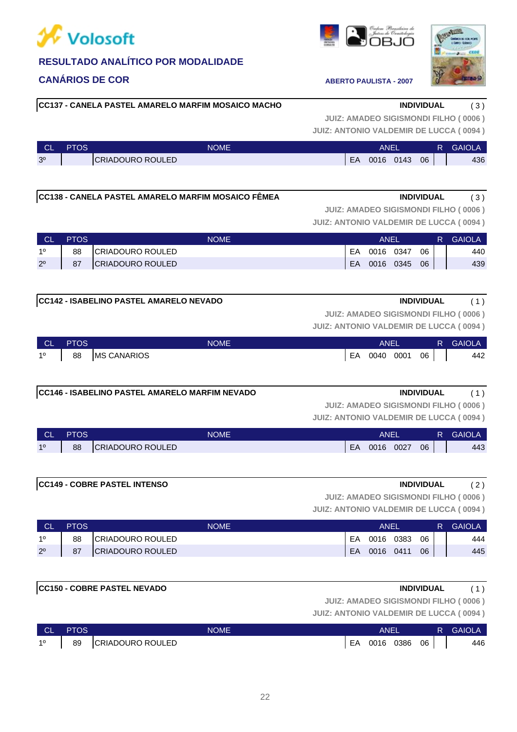### **CANÁRIOS DE COR ABERTO PAULISTA - 2007**

### **CC137 - CANELA PASTEL AMARELO MARFIM MOSAICO MACHO INDIVIDUAL** ( 3 )

**JUIZ: ANTONIO VALDEMIR DE LUCCA ( 0094 ) JUIZ: AMADEO SIGISMONDI FILHO ( 0006 )**

| <b>CL</b>      | <b>PTOS</b> | NOME'                   |    | ANE  |      |    | <b>GAIOLA</b> |
|----------------|-------------|-------------------------|----|------|------|----|---------------|
| 3 <sup>o</sup> |             | <b>CRIADOURO ROULED</b> | EA | 0016 | 0143 | 06 | 436           |

### **CC138 - CANELA PASTEL AMARELO MARFIM MOSAICO FÊMEA INDIVIDUAL** ( 3 )

**JUIZ: ANTONIO VALDEMIR DE LUCCA ( 0094 ) JUIZ: AMADEO SIGISMONDI FILHO ( 0006 )**

| <b>CL</b>   | <b>PTOS</b> | <b>NOME</b>              |    | <b>ANEI</b> |      |    | <b>GAIOLA</b> |
|-------------|-------------|--------------------------|----|-------------|------|----|---------------|
| 10          | 88          | CRIADOURO ROULED         | EA | 0016        | 0347 | 06 | 440           |
| $2^{\circ}$ | 87          | <b>ICRIADOURO ROULED</b> | EA | 0016        | 0345 | 06 | 439           |
|             |             |                          |    |             |      |    |               |

### **CC142 - ISABELINO PASTEL AMARELO NEVADO INDIVIDUAL** ( 1 )

**JUIZ: AMADEO SIGISMONDI FILHO ( 0006 )**

**JUIZ: ANTONIO VALDEMIR DE LUCCA ( 0094 )**

| <b>TCL</b>  | <b>PTOS</b>                        | <b>NOME</b>        |    | <b>ANE</b> |                 | R GAIOLA |
|-------------|------------------------------------|--------------------|----|------------|-----------------|----------|
| $1^{\circ}$ | $\begin{bmatrix} 88 \end{bmatrix}$ | <b>MS CANARIOS</b> | EA | 0040 0001  | 06 <sub>1</sub> | 442      |

### **CC146 - ISABELINO PASTEL AMARELO MARFIM NEVADO INDIVIDUAL** ( 1 )

**JUIZ: AMADEO SIGISMONDI FILHO ( 0006 )**

| <b>CL</b> | PTOS' | <b>NOME</b>             |    | ANEI |      |    | <b>GAIOLA</b> |
|-----------|-------|-------------------------|----|------|------|----|---------------|
| 10        | 88    | <b>CRIADOURO ROULED</b> | EA | 0016 | 0027 | 06 | 443           |

| <b>CC149 - COBRE PASTEL INTENSO</b> | <b>INDIVIDUAL</b> | - |
|-------------------------------------|-------------------|---|
|                                     |                   |   |

**JUIZ: ANTONIO VALDEMIR DE LUCCA ( 0094 ) JUIZ: AMADEO SIGISMONDI FILHO ( 0006 )** CL PTOS NOME ANEL R GAIOLA

| --          | .  | .                       |    | .    |      |    | . . | -------- |
|-------------|----|-------------------------|----|------|------|----|-----|----------|
| 10          | 88 | <b>CRIADOURO ROULED</b> | FΑ | 0016 | 0383 | 06 |     | 444      |
| $2^{\circ}$ | 87 | <b>CRIADOURO ROULED</b> | EA | 0016 | 0411 | 06 |     | 445      |
|             |    |                         |    |      |      |    |     |          |

|           |             | <b>CC150 - COBRE PASTEL NEVADO</b> |             |                                               | <b>INDIVIDUAL</b> |        |
|-----------|-------------|------------------------------------|-------------|-----------------------------------------------|-------------------|--------|
|           |             |                                    |             | <b>JUIZ: AMADEO SIGISMONDI FILHO (0006)</b>   |                   |        |
|           |             |                                    |             | <b>JUIZ: ANTONIO VALDEMIR DE LUCCA (0094)</b> |                   |        |
| <b>CL</b> | <b>PTOS</b> |                                    | <b>NOME</b> | ANEL                                          | R.                | GAIOLA |

| <b>CL</b> | PTOS | <b>NOME</b>              |    | ANEI |      |    | <b>GAIOLA</b> |
|-----------|------|--------------------------|----|------|------|----|---------------|
| 10        | 89   | <b>ICRIADOURO ROULED</b> | FΑ | 0016 | 0386 | 06 | 446           |



| <b>NOME</b>    |    | ANEL      |    | R. | <b>GAIOLA</b> |  |
|----------------|----|-----------|----|----|---------------|--|
| IADOURO ROULED | EA | 0016 0027 | 06 |    | 443           |  |
|                |    |           |    |    |               |  |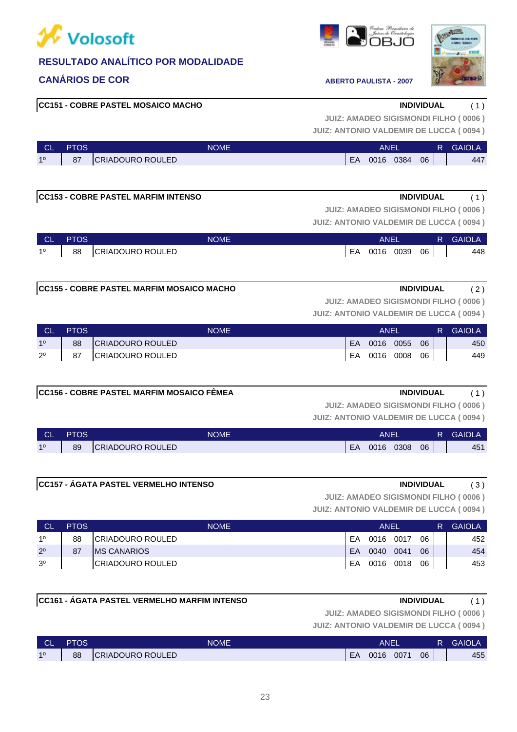

### **CANÁRIOS DE COR ABERTO PAULISTA - 2007**



**CC151 - COBRE PASTEL MOSAICO MACHO INDIVIDUAL** ( 1 )

# **JUIZ: AMADEO SIGISMONDI FILHO ( 0006 )**

**JUIZ: ANTONIO VALDEMIR DE LUCCA ( 0094 )**

| <b>CL</b> | <b>PTOS</b> | <b>NOME</b>             |    | ANE  |      |    | R | <b>GAIOLA</b> |
|-----------|-------------|-------------------------|----|------|------|----|---|---------------|
| 10        | 87          | <b>CRIADOURO ROULED</b> | EA | 0016 | 0384 | 06 |   | 447           |

### **CC153 - COBRE PASTEL MARFIM INTENSO INDIVIDUAL** ( 1 )

**JUIZ: ANTONIO VALDEMIR DE LUCCA ( 0094 ) JUIZ: AMADEO SIGISMONDI FILHO ( 0006 )**

| - CL -      | <b>PTOS</b> | <b>NOME</b>         | ANEI         |                 | <b>R</b> GAIOLA |
|-------------|-------------|---------------------|--------------|-----------------|-----------------|
| $1^{\circ}$ |             | 88 CRIADOURO ROULED | EA 0016 0039 | 06 <sub>1</sub> | 448             |

### **CC155 - COBRE PASTEL MARFIM MOSAICO MACHO INDIVIDUAL** ( 2 )

**JUIZ: AMADEO SIGISMONDI FILHO ( 0006 )**

**JUIZ: ANTONIO VALDEMIR DE LUCCA ( 0094 )**

| - CL        | <b>PTOS</b> | <b>NOME</b>             |     | ANEI         |    | R. | GAIOLA |
|-------------|-------------|-------------------------|-----|--------------|----|----|--------|
| 10          | 88          | CRIADOURO ROULED        | EA. | $0016$ 0055  | 06 |    | 450    |
| $2^{\circ}$ | 87          | <b>CRIADOURO ROULED</b> |     | EA 0016 0008 | 06 |    | 449    |

### **CC156 - COBRE PASTEL MARFIM MOSAICO FÊMEA INDIVIDUAL** ( 1 )

**JUIZ: AMADEO SIGISMONDI FILHO ( 0006 )**

**JUIZ: ANTONIO VALDEMIR DE LUCCA ( 0094 )**

| <b>CL</b> | PTOS | <b>NOME</b>             |    | ANEI |      |    | <b>GAIOLA</b> |
|-----------|------|-------------------------|----|------|------|----|---------------|
| 10        | 89   | <b>CRIADOURO ROULED</b> | EA | 0016 | 0308 | 06 | 451           |

### **CC157 - ÁGATA PASTEL VERMELHO INTENSO INDIVIDUAL** ( 3 )

**JUIZ: AMADEO SIGISMONDI FILHO ( 0006 )**

**JUIZ: ANTONIO VALDEMIR DE LUCCA ( 0094 )**

| <b>CL</b>      | <b>PTOS</b> | <b>NOME</b>              |    | ANEL      |           |    | R | <b>GAIOLA</b> |
|----------------|-------------|--------------------------|----|-----------|-----------|----|---|---------------|
| 10             | 88          | <b>CRIADOURO ROULED</b>  | EA | 0016 0017 |           | 06 |   | 452           |
| $2^{\circ}$    | 87          | <b>IMS CANARIOS</b>      | EA | 0040      | 0041      | 06 |   | 454           |
| 3 <sup>o</sup> |             | <b>ICRIADOURO ROULED</b> | EA |           | 0016 0018 | 06 |   | 453           |

### **CC161 - ÁGATA PASTEL VERMELHO MARFIM INTENSO INDIVIDUAL** ( 1 )

**JUIZ: AMADEO SIGISMONDI FILHO ( 0006 )**

| <b>CL</b> | PTOS. | <b>NOME</b>             |    | ANEI |      |    | R | <b>GAIOLA</b> |
|-----------|-------|-------------------------|----|------|------|----|---|---------------|
| 10        | 88    | <b>CRIADOURO ROULED</b> | EA | 0016 | 0071 | 06 |   | 455           |



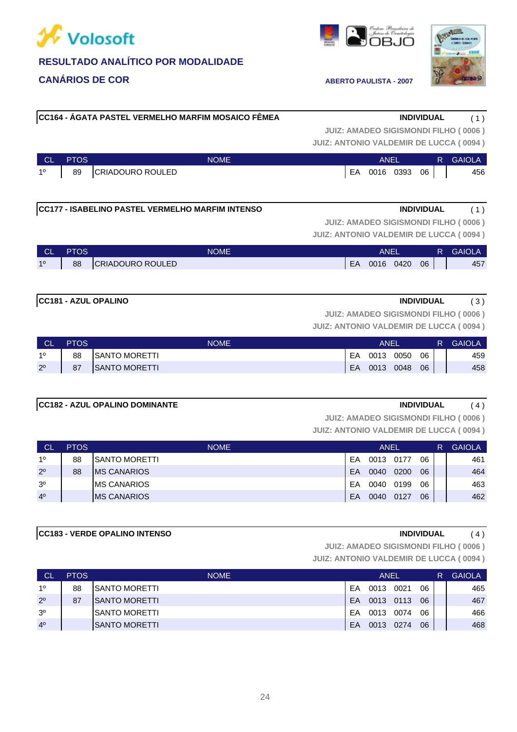

# **CC183 - VERDE OPALINO INTENSO INDIVIDUAL** ( 4 ) L

**CANÁRIOS DE COR ABERTO PAULISTA - 2007** 

### **CC181 - AZUL OPALINO INDIVIDUAL** ( 3 )

2º 87 SANTO MORETTI 2000 100 100 2000 1000 1000 1000 2000 1000 1000 1000 2000 1000 1000 1000 1000 1000 1000 10 1º 88 SANTO MORETTI 2000 10 2000 10 2000 10 2000 10 2000 10 2000 10 2000 10 2000 10 2000 10 2000 10 2000 10 20 CL PTOS NOME ANEL R GAIOLA

# **CC182 - AZUL OPALINO DOMINANTE INDIVIDUAL** ( 4 )

3º MS CANARIOS EA 0040 0199 06 463 2º 88 MS CANARIOS 20 200 06 464 1º 88 SANTO MORETTI EA 0013 0177 06 461 CL PTOS NOME ANEL R GAIOLA **JUIZ: ANTONIO VALDEMIR DE LUCCA ( 0094 ) JUIZ: AMADEO SIGISMONDI FILHO ( 0006 )**

4º | MS CANARIOS | 20090 0127 06 | 462

**JUIZ: ANTONIO VALDEMIR DE LUCCA ( 0094 ) JUIZ: AMADEO SIGISMONDI FILHO ( 0006 )**

| <b>CL</b> | <b>PTOS</b> | <b>NOME</b>             |    | <b>ANEI</b> |      |    | R | <b>GAIOLA</b> |
|-----------|-------------|-------------------------|----|-------------|------|----|---|---------------|
| 10        | 89          | <b>CRIADOURO ROULED</b> | EA | 0016        | 0393 | 06 |   | 456           |

**CC164 - ÁGATA PASTEL VERMELHO MARFIM MOSAICO FÊMEA INDIVIDUAL** ( 1 )

**CC177 - ISABELINO PASTEL VERMELHO MARFIM INTENSO INDIVIDUAL** ( 1 )

**JUIZ: AMADEO SIGISMONDI FILHO ( 0006 )**

**JUIZ: ANTONIO VALDEMIR DE LUCCA ( 0094 )**

| <b>CLASS</b>   | <b>PTOS</b> | <b>NOME</b>      |    | ANEI |           |    | R | <b>GAIOLA</b> |
|----------------|-------------|------------------|----|------|-----------|----|---|---------------|
| 1 <sup>0</sup> | 88          | CRIADOURO ROULED | EA |      | 0016 0420 | 06 |   | 457           |

**JUIZ: AMADEO SIGISMONDI FILHO ( 0006 )**

**JUIZ: ANTONIO VALDEMIR DE LUCCA ( 0094 )**

| )200 | 06 |  |
|------|----|--|

**JUIZ: ANTONIO VALDEMIR DE LUCCA ( 0094 ) JUIZ: AMADEO SIGISMONDI FILHO ( 0006 )**

| <b>CL</b> | <b>PTOS</b> | <b>NOME</b>           |           | <b>ANEL</b> |      |    | R | <b>GAIOLA</b> |
|-----------|-------------|-----------------------|-----------|-------------|------|----|---|---------------|
| 10        | 88          | <b>ISANTO MORETTI</b> | EA        | 0013        | 0021 | 06 |   | 465           |
| 20        | 87          | <b>ISANTO MORETTI</b> | <b>FA</b> | 0013 0113   |      | 06 |   | 467           |
| 30        |             | ISANTO MORETTI        | FΑ        | 0013        | 0074 | 06 |   | 466           |
| 40        |             | <b>ISANTO MORETTI</b> | EA        | 0013        | 0274 | 06 |   | 468           |





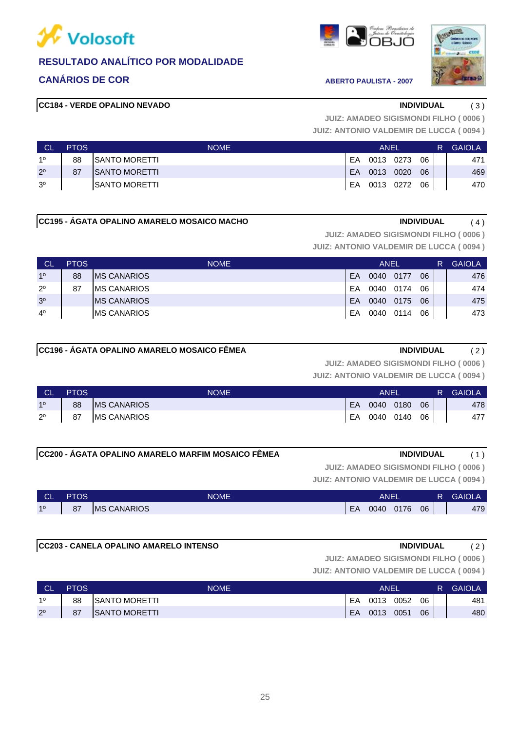

### **CANÁRIOS DE COR ABERTO PAULISTA - 2007**

|  | ſ I⊨.<br>н |
|--|------------|
|--|------------|



### **CC184 - VERDE OPALINO NEVADO INDIVIDUAL** ( 3 )

**JUIZ: ANTONIO VALDEMIR DE LUCCA ( 0094 ) JUIZ: AMADEO SIGISMONDI FILHO ( 0006 )**

| <b>CL</b>      | <b>PTOS</b> | <b>NOME</b>           |     | ANEL         |    | R' | <b>GAIOLA</b> |
|----------------|-------------|-----------------------|-----|--------------|----|----|---------------|
| 10             | 88          | SANTO MORETTI         | FA  | 0013 0273    | 06 |    | 471           |
| $2^{\circ}$    | 87          | <b>ISANTO MORETTI</b> | EA. | . 0013 0020  | 06 |    | 469           |
| 3 <sup>o</sup> |             | <b>ISANTO MORETTI</b> |     | EA 0013 0272 | 06 |    | 470           |

#### **CC195 - ÁGATA OPALINO AMARELO MOSAICO MACHO INDIVIDUAL** ( 4 )

**JUIZ: AMADEO SIGISMONDI FILHO ( 0006 )**

**JUIZ: ANTONIO VALDEMIR DE LUCCA ( 0094 )**

| <b>CL</b>      | <b>PTOS</b> | <b>NOME</b>         |    | <b>ANEL</b> |      |    | R | <b>GAIOLA</b> |
|----------------|-------------|---------------------|----|-------------|------|----|---|---------------|
| 10             | 88          | <b>IMS CANARIOS</b> | EA | 0040        | 0177 | 06 |   | 476           |
| $2^{\circ}$    | 87          | <b>IMS CANARIOS</b> | FA | 0040        | 0174 | 06 |   | 474           |
| 3 <sup>o</sup> |             | <b>IMS CANARIOS</b> | EA | 0040        | 0175 | 06 |   | 475           |
| $4^{\circ}$    |             | <b>IMS CANARIOS</b> | EA | 0040        | 0114 | 06 |   | 473           |

### **CC196 - ÁGATA OPALINO AMARELO MOSAICO FÊMEA INDIVIDUAL** ( 2 )

**JUIZ: AMADEO SIGISMONDI FILHO ( 0006 )**

**JUIZ: ANTONIO VALDEMIR DE LUCCA ( 0094 )**

| <b>CL</b>      | <b>PTOS</b> | <b>NOME</b>        |    | ANEI      |    | R. | <b>GAIOLA</b> |
|----------------|-------------|--------------------|----|-----------|----|----|---------------|
| 1 <sup>0</sup> | 88          | <b>MS CANARIOS</b> | EA | 0040 0180 | 06 |    | 478           |
| $2^{\circ}$    | 87          | <b>MS CANARIOS</b> | EA | 0040 0140 | 06 |    | 477           |

### **CC200 - ÁGATA OPALINO AMARELO MARFIM MOSAICO FÊMEA INDIVIDUAL** ( 1 )

**JUIZ: AMADEO SIGISMONDI FILHO ( 0006 )**

**JUIZ: ANTONIO VALDEMIR DE LUCCA ( 0094 )**

| CL | <b>PTOS</b> | <b>NOME</b>         |    | ANEI |      |    | ₹ | <b>GAIOLA</b> |
|----|-------------|---------------------|----|------|------|----|---|---------------|
| 10 | 87          | <b>IMS CANARIOS</b> | EA | 0040 | 0176 | 06 |   | 479           |

#### **CC203 - CANELA OPALINO AMARELO INTENSO INDIVIDUAL** ( 2 )

**JUIZ: AMADEO SIGISMONDI FILHO ( 0006 )**

| <b>CL</b>   | <b>PTOS</b> | NOME                 |    | ANEI |      |    | R | <b>GAIOLA</b> |
|-------------|-------------|----------------------|----|------|------|----|---|---------------|
| 10          | 88          | SANTO MORETTI        | EA | 0013 | 0052 | 06 |   | 481           |
| $2^{\circ}$ | 87          | <b>SANTO MORETTI</b> | EA | 0013 | 0051 | 06 |   | 480           |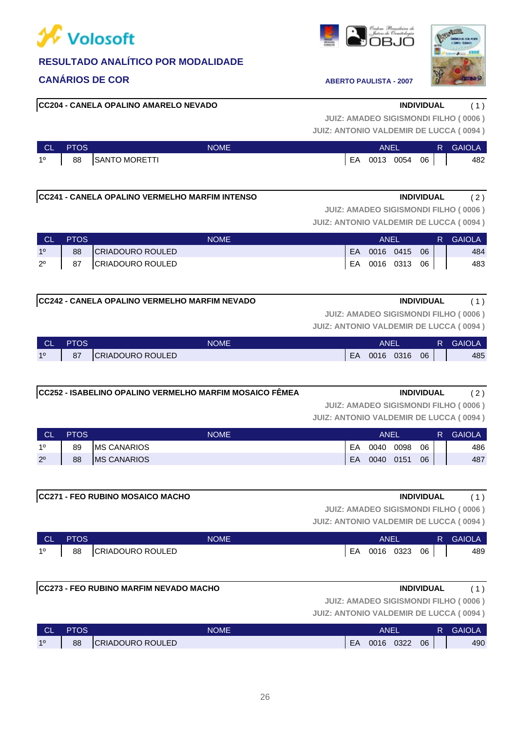

### **CANÁRIOS DE COR ABERTO PAULISTA - 2007**

#### **CC204 - CANELA OPALINO AMARELO NEVADO INDIVIDUAL** ( 1 )

**JUIZ: ANTONIO VALDEMIR DE LUCCA ( 0094 ) JUIZ: AMADEO SIGISMONDI FILHO ( 0006 )**

| L CL I | <b>PTOS</b>      | <b>NOME</b>   |    | ANEL      |  | R. | <b>GAIOLA</b> |     |
|--------|------------------|---------------|----|-----------|--|----|---------------|-----|
|        | $1^{\circ}$   88 | SANTO MORETTI | EA | 0013 0054 |  | 06 |               | 482 |

### **CC241 - CANELA OPALINO VERMELHO MARFIM INTENSO INDIVIDUAL** ( 2 )

**JUIZ: ANTONIO VALDEMIR DE LUCCA ( 0094 ) JUIZ: AMADEO SIGISMONDI FILHO ( 0006 )**

| <b>CL</b>      | <b>PTOS</b> | <b>NOME</b>      |    | ANFI |           |    | R. | <b>GAIOLA</b> |
|----------------|-------------|------------------|----|------|-----------|----|----|---------------|
| 1 <sup>0</sup> | 88          | CRIADOURO ROULED | EA |      | 0016 0415 | 06 |    | 484           |
| $2^{\circ}$    | 87          | CRIADOURO ROULED | EA |      | 0016 0313 | 06 |    | 483           |

#### **CC242 - CANELA OPALINO VERMELHO MARFIM NEVADO INDIVIDUAL** ( 1 )

**JUIZ: AMADEO SIGISMONDI FILHO ( 0006 )**

**JUIZ: ANTONIO VALDEMIR DE LUCCA ( 0094 )**

| ∣ CL'          | <b>PTOS</b> | <b>NOME</b>      |    | ANEI |      |    | R. | <b>GAIOLA</b> |
|----------------|-------------|------------------|----|------|------|----|----|---------------|
| 1 <sup>0</sup> | 87          | CRIADOURO ROULED | EA | 0016 | 0316 | 06 |    | 485           |

| CC252 - ISABELINO OPALINO VERMELHO MARFIM MOSAICO FÊMEA | <b>INDIVIDUAL</b> |  |
|---------------------------------------------------------|-------------------|--|
|---------------------------------------------------------|-------------------|--|

**JUIZ: AMADEO SIGISMONDI FILHO ( 0006 )**

**JUIZ: ANTONIO VALDEMIR DE LUCCA ( 0094 )**

| <b>CL</b>   | <b>PTOS</b> | <b>NOME</b>         |    | <b>ANEL</b> |      |    | R | <b>GAIOLA</b> |
|-------------|-------------|---------------------|----|-------------|------|----|---|---------------|
| 10          | 89          | <b>IMS CANARIOS</b> | EA | 0040        | 0098 | 06 |   | 486           |
| $2^{\circ}$ | 88          | <b>IMS CANARIOS</b> | EA | 0040        | 0151 | 06 |   | 487           |

|           |             | <b>CC271 - FEO RUBINO MOSAICO MACHO</b> |             |     |             |           | <b>INDIVIDUAL</b> |    |                                               |
|-----------|-------------|-----------------------------------------|-------------|-----|-------------|-----------|-------------------|----|-----------------------------------------------|
|           |             |                                         |             |     |             |           |                   |    | <b>JUIZ: AMADEO SIGISMONDI FILHO (0006)</b>   |
|           |             |                                         |             |     |             |           |                   |    | <b>JUIZ: ANTONIO VALDEMIR DE LUCCA (0094)</b> |
| <b>CL</b> | <b>PTOS</b> |                                         | <b>NOME</b> |     | <b>ANEL</b> |           |                   | R. | <b>GAIOLA</b>                                 |
| 10        | 88          | CRIADOURO ROULED                        |             | FA. |             | 0016 0323 | 06                |    | 489                                           |

|    | - <del>UL</del> - II UU | I VUIVILI        |    | <b>AILL</b> |      |    | $\bf{N}$ | , UNIVEAS |
|----|-------------------------|------------------|----|-------------|------|----|----------|-----------|
| 10 | 88                      | CRIADOURO ROULED | EA | 0016        | 0323 | 06 |          | 489       |
|    |                         |                  |    |             |      |    |          |           |

#### **CC273 - FEO RUBINO MARFIM NEVADO MACHO INDIVIDUAL** ( 1 )

**JUIZ: ANTONIO VALDEMIR DE LUCCA ( 0094 ) JUIZ: AMADEO SIGISMONDI FILHO ( 0006 )**

| <b>CL</b> | <b>PTOS</b> | NOME             |    | ANE  |      |    |     |
|-----------|-------------|------------------|----|------|------|----|-----|
| 10        | 88          | CRIADOURO ROULED | EA | 0016 | 0322 | 06 | 490 |

26



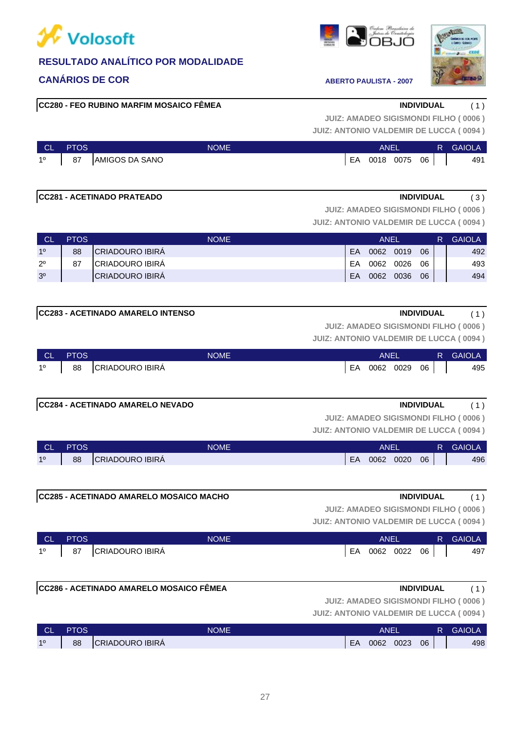

### **CANÁRIOS DE COR ABERTO PAULISTA - 2007**

**CC280 - FEO RUBINO MARFIM MOSAICO FÊMEA INDIVIDUAL** ( 1 )

| <b>CL</b> | PTOS | <b>NOME</b>            |    | ANEL |      |    | <b>GAIOLA</b> |
|-----------|------|------------------------|----|------|------|----|---------------|
| 10        | 88   | <b>CRIADOURO IBIRA</b> | EA | 0062 | 0023 | 06 | 498           |



**JUIZ: ANTONIO VALDEMIR DE LUCCA ( 0094 ) JUIZ: AMADEO SIGISMONDI FILHO ( 0006 )**

| <b>CL</b>      | <b>PTOS</b> | NOME           |    | ANEI |      |    | R i | <b>GAIOLA</b> |
|----------------|-------------|----------------|----|------|------|----|-----|---------------|
| 1 <sup>0</sup> | 87          | AMIGOS DA SANO | EA | 0018 | 0075 | 06 |     | 491           |

#### **CC281 - ACETINADO PRATEADO INDIVIDUAL** ( 3 )

**JUIZ: AMADEO SIGISMONDI FILHO ( 0006 )**

**JUIZ: ANTONIO VALDEMIR DE LUCCA ( 0094 )**

| CL             | <b>PTOS</b> | <b>NOME</b>             | ANEL |      |      |    | <b>GAIOLA</b> |
|----------------|-------------|-------------------------|------|------|------|----|---------------|
| 10             | 88          | <b>ICRIADOURO IBIRA</b> | FA   | 0062 | 0019 | 06 | 492           |
| $2^{\circ}$    | 87          | <b>ICRIADOURO IBIRA</b> | FA   | 0062 | 0026 | 06 | 493           |
| 3 <sup>o</sup> |             | <b>ICRIADOURO IBIRA</b> | EA   | 0062 | 0036 | 06 | 494           |

### **CC283 - ACETINADO AMARELO INTENSO INDIVIDUAL** ( 1 )

**JUIZ: AMADEO SIGISMONDI FILHO ( 0006 )**

**JUIZ: ANTONIO VALDEMIR DE LUCCA ( 0094 )**

| <b>CL</b>   | <b>PTOS</b> | NOME               |    | <b>ANEL</b> |      |      | R. | <b>GAIOLA</b> |
|-------------|-------------|--------------------|----|-------------|------|------|----|---------------|
| $1^{\circ}$ |             | 88 CRIADOURO IBIRÁ | EA | 0062        | 0029 | 06 I |    | 495           |

#### **CC284 - ACETINADO AMARELO NEVADO INDIVIDUAL** ( 1 )

**JUIZ: AMADEO SIGISMONDI FILHO ( 0006 )**

**JUIZ: ANTONIO VALDEMIR DE LUCCA ( 0094 )**

| <b>CL</b> | <b>PTOS</b> | <b>NOME</b>            | <b>ANEL</b> |      |      | <b>GAIOLA</b> |     |
|-----------|-------------|------------------------|-------------|------|------|---------------|-----|
| 10        | 88          | <b>CRIADOURO IBIRA</b> | EA          | 0062 | 0020 | 06            | 496 |

**JUIZ: AMADEO SIGISMONDI FILHO ( 0006 )**

**JUIZ: ANTONIO VALDEMIR DE LUCCA ( 0094 )**

| <b>CL</b> | <b>PTOS</b> | NOME                   |    | ANEI |      |    | R | <b>GAIOLA</b> |
|-----------|-------------|------------------------|----|------|------|----|---|---------------|
| 10        | 87          | <b>CRIADOURO IBIRA</b> | EA | 0062 | 0022 | 06 |   | 497           |

**CC286 - ACETINADO AMARELO MOSAICO FÊMEA INDIVIDUAL** ( 1 )

**JUIZ: ANTONIO VALDEMIR DE LUCCA ( 0094 ) JUIZ: AMADEO SIGISMONDI FILHO ( 0006 )**

| 062 0020 06 |  |  |
|-------------|--|--|
|             |  |  |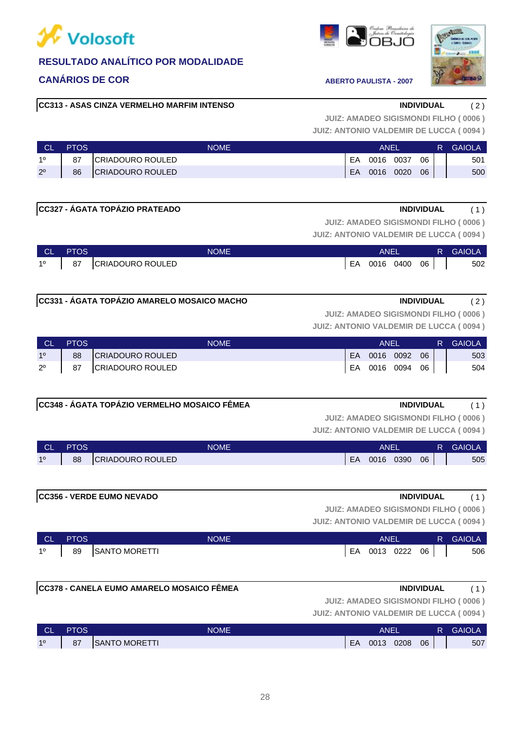# **X** Volosoft

### **RESULTADO ANALÍTICO POR MODALIDADE**

### **CANÁRIOS DE COR ABERTO PAULISTA - 2007**

### **CC313 - ASAS CINZA VERMELHO MARFIM INTENSO INDIVIDUAL** ( 2 )

**JUIZ: AMADEO SIGISMONDI FILHO ( 0006 )**

**JUIZ: ANTONIO VALDEMIR DE LUCCA ( 0094 )**

| <b>CL</b>   | <b>PTOS</b> | <b>NOME</b>              | ANEI |      |      |    | R | <b>GAIOLA</b> |
|-------------|-------------|--------------------------|------|------|------|----|---|---------------|
| 10          | 87          | <b>ICRIADOURO ROULED</b> | EA   | 0016 | 0037 | 06 |   | 501           |
| $2^{\circ}$ | 86          | <b>CRIADOURO ROULED</b>  | EA   | 0016 | 0020 | 06 |   | 500           |

| <b>ICC327 - AGATA TOPÁZIO PRATEADO</b> | INDIVIDUAL                                  |  |
|----------------------------------------|---------------------------------------------|--|
|                                        | <b>JUIZ: AMADEO SIGISMONDI FILHO (0006)</b> |  |

**JUIZ: ANTONIO VALDEMIR DE LUCCA ( 0094 )**

| ∴ CL ' | <b>PTOS</b> | <b>NOME</b>              | ANEI            |  | R GAIOLA |
|--------|-------------|--------------------------|-----------------|--|----------|
|        |             | 1º   87 CRIADOURO ROULED | EA 0016 0400 06 |  | 502      |

#### **CC331 - ÁGATA TOPÁZIO AMARELO MOSAICO MACHO INDIVIDUAL** ( 2 )

**JUIZ: AMADEO SIGISMONDI FILHO ( 0006 )**

**JUIZ: ANTONIO VALDEMIR DE LUCCA ( 0094 )**

| – CL        | <b>PTOS</b> | <b>NOME</b>             |    | ANEI      |      |    | R. | <b>GAIOLA</b> |
|-------------|-------------|-------------------------|----|-----------|------|----|----|---------------|
| 10          | 88          | <b>CRIADOURO ROULED</b> | EA | 0016      | 0092 | 06 |    | 503           |
| $2^{\circ}$ | 87          | CRIADOURO ROULED        | EA | 0016 0094 |      | 06 |    | 504           |

#### **CC348 - ÁGATA TOPÁZIO VERMELHO MOSAICO FÊMEA INDIVIDUAL** ( 1 )

**JUIZ: AMADEO SIGISMONDI FILHO ( 0006 )**

**JUIZ: ANTONIO VALDEMIR DE LUCCA ( 0094 )**

| <b>CL</b> | PTOS | <b>NOME</b>              |    | <b>ANEL</b> |      |    | <b>GAIOLA</b> |
|-----------|------|--------------------------|----|-------------|------|----|---------------|
| 10        | 88   | <b>ICRIADOURO ROULED</b> | EA | 0016        | 0390 | 06 | 505           |

## **JUIZ: ANTONIO VALDEMIR DE LUCCA ( 0094 ) JUIZ: AMADEO SIGISMONDI FILHO ( 0006 ) CC356 - VERDE EUMO NEVADO INDIVIDUAL** ( 1 )

| <b>CL</b>      | <b>PTOS</b> | NOME          |    | ANEI |           |    | R. | <b>GAIOLA</b> |
|----------------|-------------|---------------|----|------|-----------|----|----|---------------|
| 1 <sup>0</sup> | 89          | SANTO MORETTI | EA |      | 0013 0222 | 06 |    | 506           |

### **CC378 - CANELA EUMO AMARELO MOSAICO FÊMEA INDIVIDUAL** ( 1 )

**JUIZ: AMADEO SIGISMONDI FILHO ( 0006 )**

| <b>CL</b> | <b>PTOS</b> | NOME                 |    | <b>ANEL</b> |      |    | R | <b>GAIOLA</b> |
|-----------|-------------|----------------------|----|-------------|------|----|---|---------------|
| 10        | 87          | <b>SANTO MORETTI</b> | EA | 0013        | 0208 | 06 |   | 507           |



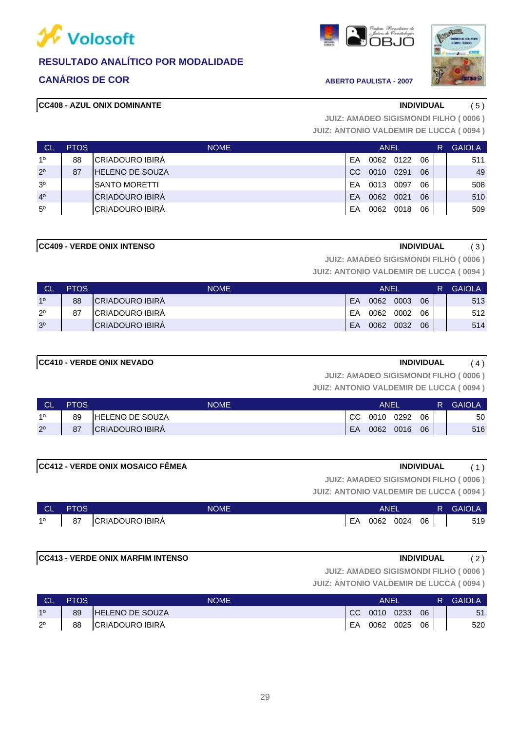

### **CANÁRIOS DE COR ABERTO PAULISTA - 2007**

### **CC408 - AZUL ONIX DOMINANTE INDIVIDUAL** ( 5 )





**JUIZ: ANTONIO VALDEMIR DE LUCCA ( 0094 ) JUIZ: AMADEO SIGISMONDI FILHO ( 0006 )**

| <b>CL</b>      | <b>PTOS</b> | <b>NOME</b>            |     | ANEL |      |    | R | <b>GAIOLA</b> |
|----------------|-------------|------------------------|-----|------|------|----|---|---------------|
| 10             | 88          | ICRIADOURO IBIRÁ       | FA  | 0062 | 0122 | 06 |   | 511           |
| $2^{\circ}$    | 87          | <b>HELENO DE SOUZA</b> | CC. | 0010 | 0291 | 06 |   | 49            |
| 3 <sup>o</sup> |             | <b>SANTO MORETTI</b>   | FA  | 0013 | 0097 | 06 |   | 508           |
| 4 <sup>0</sup> |             | <b>CRIADOURO IBIRÁ</b> | EA  | 0062 | 0021 | 06 |   | 510           |
| $5^{\circ}$    |             | <b>CRIADOURO IBIRÁ</b> | EA  | 0062 | 0018 | 06 |   | 509           |

#### **CC409 - VERDE ONIX INTENSO INDIVIDUAL** ( 3 )

**JUIZ: AMADEO SIGISMONDI FILHO ( 0006 )**

**JUIZ: ANTONIO VALDEMIR DE LUCCA ( 0094 )**

| <b>CL</b>      | <b>PTOS</b> | <b>NOME</b>             |    | ANEI |      |    | R | <b>GAIOLA</b> |
|----------------|-------------|-------------------------|----|------|------|----|---|---------------|
| 10             | 88          | <b>ICRIADOURO IBIRA</b> | FA | 0062 | 0003 | 06 |   | 513           |
| $2^{\circ}$    | 87          | ICRIADOURO IBIRA        | FΑ | 0062 | 0002 | 06 |   | 512           |
| 3 <sup>o</sup> |             | <b>CRIADOURO IBIRA</b>  | EA | 0062 | 0032 | 06 |   | 514           |

#### **CC410 - VERDE ONIX NEVADO INDIVIDUAL** ( 4 )

**JUIZ: AMADEO SIGISMONDI FILHO ( 0006 )**

**JUIZ: ANTONIO VALDEMIR DE LUCCA ( 0094 )**

| <b>CL</b>   | <b>PTOS</b> | <b>NOME</b>            |     | ANEI |      |    | R. | <b>GAIOLA</b> |
|-------------|-------------|------------------------|-----|------|------|----|----|---------------|
| 10          | 89          | <b>HELENO DE SOUZA</b> | CC. | 0010 | 0292 | 06 |    | 50            |
| $2^{\circ}$ | 87          | CRIADOURO IBIRA        | EA  | 0062 | 0016 | 06 |    | 516           |

| <b>CC412 - VERDE ONIX MOSAICO FÊMEA</b> | <b>INDIVIDUAL</b> |  |
|-----------------------------------------|-------------------|--|
|                                         |                   |  |

**JUIZ: AMADEO SIGISMONDI FILHO ( 0006 )**

**JUIZ: ANTONIO VALDEMIR DE LUCCA ( 0094 )**

| <b>CL</b>   | <b>PTOS</b> | NOME                   |    | ANEI      |           | R. | GAIOLA |
|-------------|-------------|------------------------|----|-----------|-----------|----|--------|
| $1^{\circ}$ | 87          | <b>CRIADOURO IBIRA</b> | EA | 0062 0024 | $06 \mid$ |    | 519    |

### **CC413 - VERDE ONIX MARFIM INTENSO INDIVIDUAL** ( 2 )

**JUIZ: AMADEO SIGISMONDI FILHO ( 0006 )**

| <b>CL</b>      | <b>PTOS</b> | <b>NOME</b>            |    | ANEI         |    | R. | <b>GAIOLA</b> |
|----------------|-------------|------------------------|----|--------------|----|----|---------------|
| 1 <sup>o</sup> | 89          | <b>HELENO DE SOUZA</b> |    | CC 0010 0233 | 06 |    | 51            |
| $2^{\circ}$    | 88          | CRIADOURO IBIRÁ        | EA | 0062 0025    | 06 |    | 520           |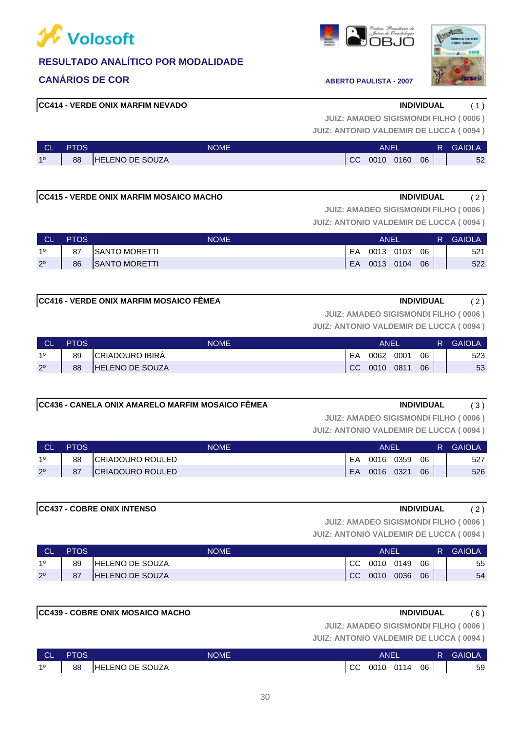

### **CANÁRIOS DE COR ABERTO PAULISTA - 2007**

### **CC414 - VERDE ONIX MARFIM NEVADO INDIVIDUAL** ( 1 )

#### **JUIZ: ANTONIO VALDEMIR DE LUCCA ( 0094 ) JUIZ: AMADEO SIGISMONDI FILHO ( 0006 )**

| <b>CL</b> | <b>PTOS</b> | <b>NOME</b>            |     | ANEL |      |    | R | <b>GAIOLA</b> |
|-----------|-------------|------------------------|-----|------|------|----|---|---------------|
| 10        | 88          | <b>HELENO DE SOUZA</b> | CC. | 0010 | 0160 | 06 |   | 52            |

### **CC415 - VERDE ONIX MARFIM MOSAICO MACHO INDIVIDUAL** ( 2 )

# **JUIZ: AMADEO SIGISMONDI FILHO ( 0006 )**

**JUIZ: ANTONIO VALDEMIR DE LUCCA ( 0094 )**

| <b>NOL</b>  | <b>PTOS</b> | NOME                  |    | ANEL |      | R. | <b>GAIOLA</b> |     |
|-------------|-------------|-----------------------|----|------|------|----|---------------|-----|
| 10          | 87          | ISANTO MORETTI        | EA | 0013 | 0103 | 06 |               | 521 |
| $2^{\circ}$ | 86          | <b>ISANTO MORETTI</b> | EA | 0013 | 0104 | 06 |               | 522 |

### **CC416 - VERDE ONIX MARFIM MOSAICO FÊMEA INDIVIDUAL** ( 2 )

**JUIZ: ANTONIO VALDEMIR DE LUCCA ( 0094 ) JUIZ: AMADEO SIGISMONDI FILHO ( 0006 )**

| - CL        | <b>PTOS</b> | <b>NOME</b>            |               | ANEI |      |    | R | <b>GAIOLA</b> |
|-------------|-------------|------------------------|---------------|------|------|----|---|---------------|
| 10          | 89          | <b>CRIADOURO IBIRA</b> | EΑ            | 0062 | 0001 | 06 |   | 523           |
| $2^{\circ}$ | 88          | <b>HELENO DE SOUZA</b> | <sub>CC</sub> | 0010 | 0811 | 06 |   | 53            |

### **CC436 - CANELA ONIX AMARELO MARFIM MOSAICO FÊMEA INDIVIDUAL** ( 3 )

**JUIZ: AMADEO SIGISMONDI FILHO ( 0006 )**

**JUIZ: ANTONIO VALDEMIR DE LUCCA ( 0094 )**

| <b>CL</b>   | <b>PTOS</b> | <b>NOME</b>             |    | ANEI |      |    | R. | <b>GAIOLA</b> |
|-------------|-------------|-------------------------|----|------|------|----|----|---------------|
| 10          | 88          | <b>CRIADOURO ROULED</b> | EA | 0016 | 0359 | 06 |    | 527           |
| $2^{\circ}$ | 87          | <b>CRIADOURO ROULED</b> | EA | 0016 | 0321 | 06 |    | 526           |

#### **CC437 - COBRE ONIX INTENSO INDIVIDUAL** ( 2 )

**JUIZ: AMADEO SIGISMONDI FILHO ( 0006 )**

**JUIZ: ANTONIO VALDEMIR DE LUCCA ( 0094 )**

| <b>CL</b>   | <b>PTOS</b> | NOME                   |               | ANEI |      |    | R | <b>GAIOLA</b> |
|-------------|-------------|------------------------|---------------|------|------|----|---|---------------|
| 10          | 89          | <b>HELENO DE SOUZA</b> | <sub>CC</sub> | 0010 | 0149 | 06 |   | 55            |
| $2^{\circ}$ | 87          | <b>HELENO DE SOUZA</b> | <sub>CC</sub> | 0010 | 0036 | 06 |   | 54            |

### **CC439 - COBRE ONIX MOSAICO MACHO INDIVIDUAL** ( 6 )

**JUIZ: ANTONIO VALDEMIR DE LUCCA ( 0094 ) JUIZ: AMADEO SIGISMONDI FILHO ( 0006 )**

| <b>NOLL</b>    | <b>PTOS</b> | <b>NOME</b>     | ANEL            |  | R. | <b>GAIOLA</b> |
|----------------|-------------|-----------------|-----------------|--|----|---------------|
| 1 <sup>0</sup> | 88          | HELENO DE SOUZA | CC 0010 0114 06 |  |    | 59            |



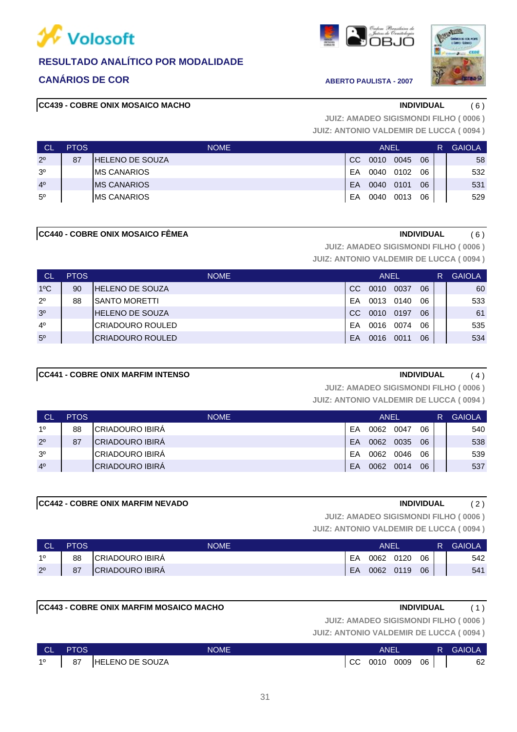

### **CANÁRIOS DE COR ABERTO PAULISTA - 2007**

### **CC439 - COBRE ONIX MOSAICO MACHO INDIVIDUAL** ( 6 )





**JUIZ: ANTONIO VALDEMIR DE LUCCA ( 0094 ) JUIZ: AMADEO SIGISMONDI FILHO ( 0006 )**

| <b>CL</b>      | <b>PTOS</b> | <b>NOME</b>             |               | <b>ANEL</b> |      |    | R | <b>GAIOLA</b> |
|----------------|-------------|-------------------------|---------------|-------------|------|----|---|---------------|
| $2^{\circ}$    | 87          | <b>IHELENO DE SOUZA</b> | <sub>CC</sub> | 0010        | 0045 | 06 |   | 58            |
| 3 <sup>o</sup> |             | <b>IMS CANARIOS</b>     | EA            | 0040        | 0102 | 06 |   | 532           |
| 4 <sup>0</sup> |             | <b>IMS CANARIOS</b>     | EA            | 0040        | 0101 | 06 |   | 531           |
| $5^{\circ}$    |             | <b>IMS CANARIOS</b>     | EA            | 0040        | 0013 | 06 |   | 529           |

#### **CC440 - COBRE ONIX MOSAICO FÊMEA INDIVIDUAL** ( 6 )

**JUIZ: AMADEO SIGISMONDI FILHO ( 0006 )**

**JUIZ: ANTONIO VALDEMIR DE LUCCA ( 0094 )**

| ⊟ CL'          | <b>PTOS</b> | <b>NOME</b>              |    | <b>ANEL</b> |      |    | R | <b>GAIOLA</b> |
|----------------|-------------|--------------------------|----|-------------|------|----|---|---------------|
| $1^{\circ}$ C  | 90          | <b>HELENO DE SOUZA</b>   | CC | 0010        | 0037 | 06 |   | 60            |
| $2^{\circ}$    | 88          | <b>SANTO MORETTI</b>     | FA | 0013        | 0140 | 06 |   | 533           |
| 3 <sup>0</sup> |             | <b>HELENO DE SOUZA</b>   | CC | 0010        | 0197 | 06 |   | 61            |
| $4^{\circ}$    |             | ICRIADOURO ROULED        | FA | 0016        | 0074 | 06 |   | 535           |
| $5^{\circ}$    |             | <b>ICRIADOURO ROULED</b> | FA | 0016        | 0011 | 06 |   | 534           |

#### **CC441 - COBRE ONIX MARFIM INTENSO INDIVIDUAL** ( 4 )

**JUIZ: AMADEO SIGISMONDI FILHO ( 0006 )**

**JUIZ: ANTONIO VALDEMIR DE LUCCA ( 0094 )**

| <b>CL</b>      | <b>PTOS</b> | <b>NOME</b>             |    | ANEL |      |    | <b>GAIOLA</b> |
|----------------|-------------|-------------------------|----|------|------|----|---------------|
| 10             | 88          | <b>ICRIADOURO IBIRA</b> | FΑ | 0062 | 0047 | 06 | 540           |
| $2^{\circ}$    | 87          | <b>CRIADOURO IBIRÁ</b>  | FA | 0062 | 0035 | 06 | 538           |
| 3 <sup>o</sup> |             | <b>ICRIADOURO IBIRA</b> | FΑ | 0062 | 0046 | 06 | 539           |
| 4 <sup>0</sup> |             | <b>ICRIADOURO IBIRA</b> | EA | 0062 | 0014 | 06 | 537           |

#### **CC442 - COBRE ONIX MARFIM NEVADO INDIVIDUAL** ( 2 )

**JUIZ: AMADEO SIGISMONDI FILHO ( 0006 )**

| ∣ CL'       | <b>PTOS</b> | NOME                   | ANFI |           |           |    | R. | <b>GAIOLA</b> |
|-------------|-------------|------------------------|------|-----------|-----------|----|----|---------------|
| 10          | 88          | CRIADOURO IBIRA        | EA   |           | 0062 0120 | 06 |    | 542           |
| $2^{\circ}$ | 87          | <b>CRIADOURO IBIRA</b> | EA   | 0062 0119 |           | 06 |    | 541           |

|           |             | <b>CC443 - COBRE ONIX MARFIM MOSAICO MACHO</b> | <b>INDIVIDUAL</b> | (1)    |
|-----------|-------------|------------------------------------------------|-------------------|--------|
|           |             | <b>JUIZ: AMADEO SIGISMONDI FILHO (0006)</b>    |                   |        |
|           |             | <b>JUIZ: ANTONIO VALDEMIR DE LUCCA (0094)</b>  |                   |        |
| <b>CL</b> | <b>PTOS</b> | <b>NOME</b><br>ANEL                            | R.                | GAIOLA |

| I CL | <b>PTOS</b> | NOME                   |    | ANEI |      |    | R | <b>GAIOLA</b> |
|------|-------------|------------------------|----|------|------|----|---|---------------|
| 10   | 87          | <b>HELENO DE SOUZA</b> | CC | 0010 | 0009 | 06 |   | 62            |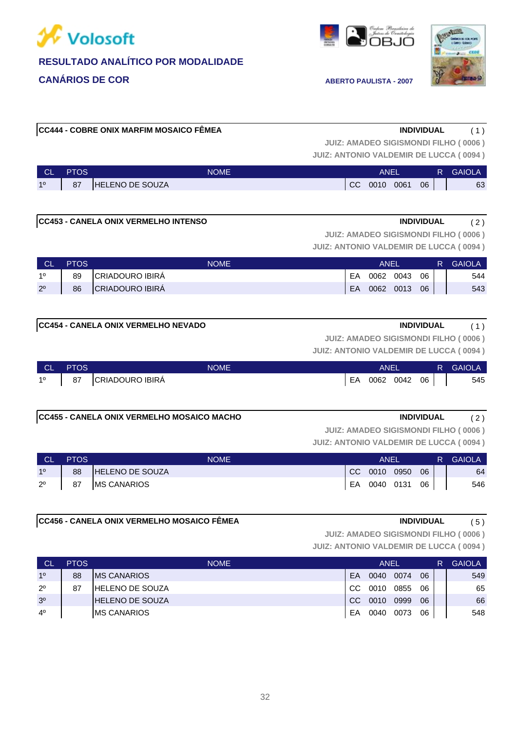





### **JUIZ: ANTONIO VALDEMIR DE LUCCA ( 0094 ) JUIZ: AMADEO SIGISMONDI FILHO ( 0006 ) CC444 - COBRE ONIX MARFIM MOSAICO FÊMEA INDIVIDUAL** ( 1 )

| <b>CL</b> | <b>PTOS</b> | NOME'                  |               | <b>ANEI</b> |      |    | R | <b>GAIOLA</b> |
|-----------|-------------|------------------------|---------------|-------------|------|----|---|---------------|
| 10        | 87          | <b>HELENO DE SOUZA</b> | <sub>CC</sub> | 0010        | 0061 | 06 |   | 63            |

| <b>CC453 - CANELA ONIX VERMELHO INTENSO</b> | <b>INDIVIDUAL</b> |  |
|---------------------------------------------|-------------------|--|
|                                             |                   |  |

**JUIZ: AMADEO SIGISMONDI FILHO ( 0006 )**

**JUIZ: ANTONIO VALDEMIR DE LUCCA ( 0094 )**

| <b>CL</b>   | <b>PTOS</b> | <b>NOME</b>     |    | ANEI |      |    | R | <b>GAIOLA</b> |
|-------------|-------------|-----------------|----|------|------|----|---|---------------|
| 10          | 89          | CRIADOURO IBIRA | EA | 0062 | 0043 | 06 |   | 544           |
| $2^{\circ}$ | 86          | CRIADOURO IBIRA | EA | 0062 | 0013 | 06 |   | 543           |

|  |  |  |  | <b>CC454 - CANELA ONIX VERMELHO NEVADO</b> |  |
|--|--|--|--|--------------------------------------------|--|
|--|--|--|--|--------------------------------------------|--|

**INDIVIDUAL** (1)

**JUIZ: AMADEO SIGISMONDI FILHO ( 0006 )**

**JUIZ: ANTONIO VALDEMIR DE LUCCA ( 0094 )**

| <b>CL</b>   | <b>PTOS</b> | NOME               | ANEL            |  | R GAIOLA |
|-------------|-------------|--------------------|-----------------|--|----------|
| $1^{\circ}$ |             | 87 CRIADOURO IBIRÁ | EA 0062 0042 06 |  | 545      |
|             |             |                    |                 |  |          |

#### **CC455 - CANELA ONIX VERMELHO MOSAICO MACHO INDIVIDUAL** ( 2 )

**JUIZ: AMADEO SIGISMONDI FILHO ( 0006 )**

**JUIZ: ANTONIO VALDEMIR DE LUCCA ( 0094 )**

| <b>CL</b>      | <b>PTOS</b> | <b>NOME</b>            |    | ANEI         |    | R. | <b>GAIOLA</b> |
|----------------|-------------|------------------------|----|--------------|----|----|---------------|
| 1 <sup>o</sup> | 88          | <b>HELENO DE SOUZA</b> |    | CC 0010 0950 | 06 |    | 64            |
| $2^{\circ}$    | 87          | <b>MS CANARIOS</b>     | EA | 0040 0131    | 06 |    | 546           |

### **CC456 - CANELA ONIX VERMELHO MOSAICO FÊMEA INDIVIDUAL** ( 5 )

**JUIZ: AMADEO SIGISMONDI FILHO ( 0006 )**

| <b>CL</b>      | <b>PTOS</b> | <b>NOME</b>             |               | ANEL |      |    | R | <b>GAIOLA</b> |
|----------------|-------------|-------------------------|---------------|------|------|----|---|---------------|
| 10             | 88          | <b>IMS CANARIOS</b>     | EA            | 0040 | 0074 | 06 |   | 549           |
| $2^{\circ}$    | 87          | <b>IHELENO DE SOUZA</b> | CC.           | 0010 | 0855 | 06 |   | 65            |
| 3 <sup>o</sup> |             | <b>IHELENO DE SOUZA</b> | <sub>CC</sub> | 0010 | 0999 | 06 |   | 66            |
| 4 <sup>0</sup> |             | <b>IMS CANARIOS</b>     | EA            | 0040 | 0073 | 06 |   | 548           |